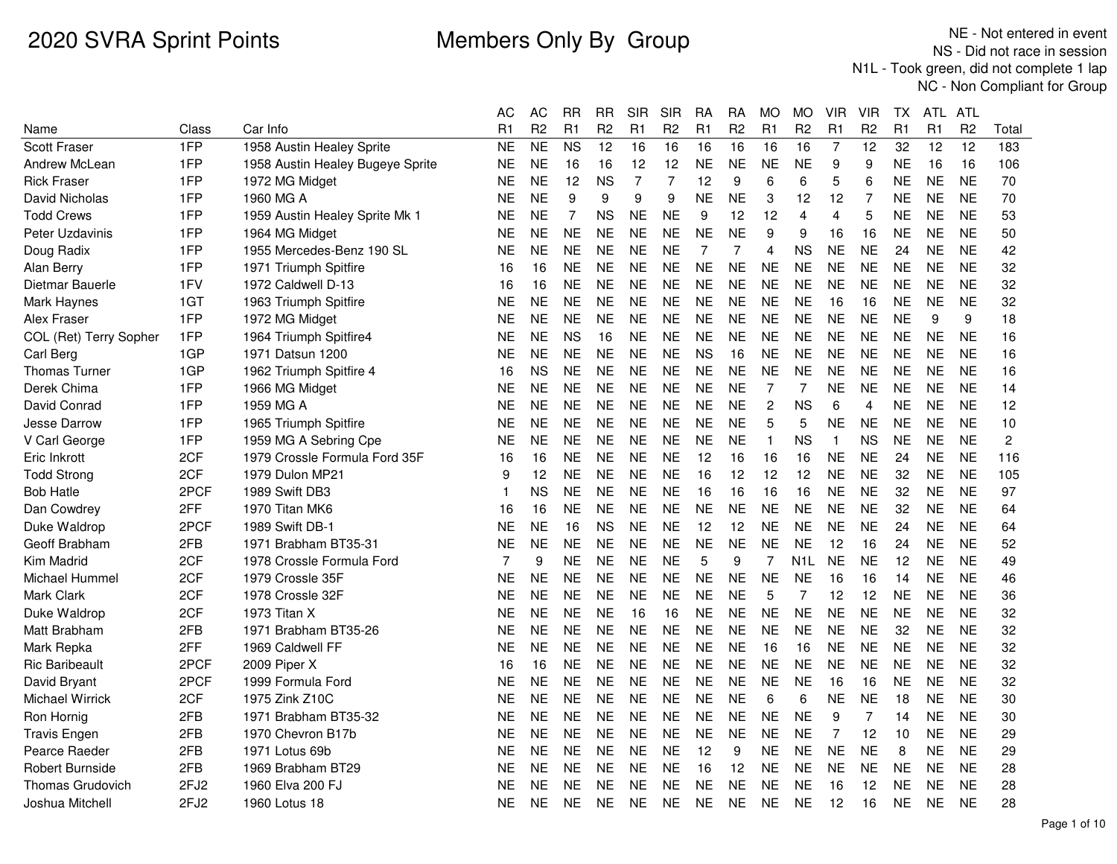|                         |                  |                                  | AС             | AC             | RR        | <b>RR</b>      | <b>SIR</b> | SIR            | RA             | RA             | MO.            | МO             | VIR            | VIR            | ТX        | ATL.           | ATL            |                |
|-------------------------|------------------|----------------------------------|----------------|----------------|-----------|----------------|------------|----------------|----------------|----------------|----------------|----------------|----------------|----------------|-----------|----------------|----------------|----------------|
| Name                    | Class            | Car Info                         | R1             | R <sub>2</sub> | R1        | R <sub>2</sub> | R1         | R <sub>2</sub> | R1             | R <sub>2</sub> | R <sub>1</sub> | R <sub>2</sub> | R <sub>1</sub> | R <sub>2</sub> | R1        | R <sub>1</sub> | R <sub>2</sub> | Total          |
| Scott Fraser            | 1FP              | 1958 Austin Healey Sprite        | NE             | <b>NE</b>      | <b>NS</b> | 12             | 16         | 16             | 16             | 16             | 16             | 16             | $\overline{7}$ | 12             | 32        | 12             | 12             | 183            |
| Andrew McLean           | 1FP              | 1958 Austin Healey Bugeye Sprite | ΝE             | <b>NE</b>      | 16        | 16             | 12         | 12             | <b>NE</b>      | <b>NE</b>      | <b>NE</b>      | <b>NE</b>      | 9              | 9              | <b>NE</b> | 16             | 16             | 106            |
| <b>Rick Fraser</b>      | 1FP              | 1972 MG Midget                   | NE             | <b>NE</b>      | 12        | <b>NS</b>      | 7          | 7              | 12             | 9              | 6              | 6              | 5              | 6              | <b>NE</b> | <b>NE</b>      | <b>NE</b>      | 70             |
| David Nicholas          | 1FP              | 1960 MG A                        | NE             | <b>NE</b>      | 9         | 9              | 9          | 9              | <b>NE</b>      | <b>NE</b>      | 3              | 12             | 12             | 7              | NΕ        | <b>NE</b>      | <b>NE</b>      | 70             |
| <b>Todd Crews</b>       | 1FP              | 1959 Austin Healey Sprite Mk 1   | ΝE             | <b>NE</b>      | 7         | ΝS             | <b>NE</b>  | NE             | 9              | 12             | 12             | 4              | 4              | 5              | <b>NE</b> | <b>NE</b>      | <b>NE</b>      | 53             |
| Peter Uzdavinis         | 1FP              | 1964 MG Midget                   | NE             | <b>NE</b>      | <b>NE</b> | <b>NE</b>      | <b>NE</b>  | <b>NE</b>      | <b>NE</b>      | <b>NE</b>      | 9              | 9              | 16             | 16             | <b>NE</b> | <b>NE</b>      | <b>NE</b>      | 50             |
| Doug Radix              | 1FP              | 1955 Mercedes-Benz 190 SL        | NE             | <b>NE</b>      | <b>NE</b> | <b>NE</b>      | <b>NE</b>  | <b>NE</b>      | $\overline{7}$ | 7              | $\overline{4}$ | <b>NS</b>      | <b>NE</b>      | <b>NE</b>      | 24        | <b>NE</b>      | <b>NE</b>      | 42             |
| Alan Berry              | 1FP              | 1971 Triumph Spitfire            | 16             | 16             | <b>NE</b> | <b>NE</b>      | <b>NE</b>  | <b>NE</b>      | <b>NE</b>      | <b>NE</b>      | <b>NE</b>      | NE             | <b>NE</b>      | <b>NE</b>      | <b>NE</b> | <b>NE</b>      | <b>NE</b>      | 32             |
| Dietmar Bauerle         | 1FV              | 1972 Caldwell D-13               | 16             | 16             | <b>NE</b> | <b>NE</b>      | <b>NE</b>  | <b>NE</b>      | <b>NE</b>      | <b>NE</b>      | <b>NE</b>      | <b>NE</b>      | <b>NE</b>      | <b>NE</b>      | <b>NE</b> | <b>NE</b>      | <b>NE</b>      | 32             |
| Mark Haynes             | 1GT              | 1963 Triumph Spitfire            | NE             | <b>NE</b>      | NE.       | <b>NE</b>      | <b>NE</b>  | NE             | <b>NE</b>      | <b>NE</b>      | <b>NE</b>      | NE             | 16             | 16             | <b>NE</b> | NE.            | <b>NE</b>      | 32             |
| Alex Fraser             | 1FP              | 1972 MG Midget                   | NE             | <b>NE</b>      | <b>NE</b> | <b>NE</b>      | <b>NE</b>  | <b>NE</b>      | <b>NE</b>      | <b>NE</b>      | <b>NE</b>      | <b>NE</b>      | <b>NE</b>      | <b>NE</b>      | <b>NE</b> | 9              | 9              | 18             |
| COL (Ret) Terry Sopher  | 1FP              | 1964 Triumph Spitfire4           | NE             | <b>NE</b>      | <b>NS</b> | 16             | <b>NE</b>  | <b>NE</b>      | <b>NE</b>      | <b>NE</b>      | <b>NE</b>      | <b>NE</b>      | <b>NE</b>      | <b>NE</b>      | <b>NE</b> | <b>NE</b>      | <b>NE</b>      | 16             |
| Carl Berg               | 1GP              | 1971 Datsun 1200                 | NΕ             | <b>NE</b>      | <b>NE</b> | <b>NE</b>      | <b>NE</b>  | <b>NE</b>      | <b>NS</b>      | 16             | <b>NE</b>      | <b>NE</b>      | <b>NE</b>      | <b>NE</b>      | <b>NE</b> | <b>NE</b>      | <b>NE</b>      | 16             |
| Thomas Turner           | 1GP              | 1962 Triumph Spitfire 4          | 16             | <b>NS</b>      | <b>NE</b> | <b>NE</b>      | <b>NE</b>  | <b>NE</b>      | <b>NE</b>      | <b>NE</b>      | <b>NE</b>      | <b>NE</b>      | <b>NE</b>      | <b>NE</b>      | <b>NE</b> | <b>NE</b>      | <b>NE</b>      | 16             |
| Derek Chima             | 1FP              | 1966 MG Midget                   | ΝE             | <b>NE</b>      | <b>NE</b> | <b>NE</b>      | <b>NE</b>  | <b>NE</b>      | <b>NE</b>      | <b>NE</b>      | $\overline{7}$ | 7              | <b>NE</b>      | <b>NE</b>      | <b>NE</b> | <b>NE</b>      | <b>NE</b>      | 14             |
| David Conrad            | 1FP              | 1959 MG A                        | ΝE             | <b>NE</b>      | <b>NE</b> | <b>NE</b>      | <b>NE</b>  | <b>NE</b>      | <b>NE</b>      | <b>NE</b>      | $\overline{c}$ | <b>NS</b>      | 6              | 4              | NΕ        | <b>NE</b>      | <b>NE</b>      | 12             |
| <b>Jesse Darrow</b>     | 1FP              | 1965 Triumph Spitfire            | ΝE             | <b>NE</b>      | <b>NE</b> | <b>NE</b>      | <b>NE</b>  | <b>NE</b>      | <b>NE</b>      | <b>NE</b>      | 5              | 5              | <b>NE</b>      | <b>NE</b>      | <b>NE</b> | <b>NE</b>      | <b>NE</b>      | 10             |
| V Carl George           | 1FP              | 1959 MG A Sebring Cpe            | NΕ             | <b>NE</b>      | <b>NE</b> | <b>NE</b>      | <b>NE</b>  | <b>NE</b>      | <b>NE</b>      | <b>NE</b>      | 1              | ΝS             | $\mathbf{1}$   | <b>NS</b>      | <b>NE</b> | <b>NE</b>      | <b>NE</b>      | $\overline{c}$ |
| Eric Inkrott            | 2CF              | 1979 Crossle Formula Ford 35F    | 16             | 16             | <b>NE</b> | <b>NE</b>      | <b>NE</b>  | <b>NE</b>      | 12             | 16             | 16             | 16             | <b>NE</b>      | <b>NE</b>      | 24        | NE.            | <b>NE</b>      | 116            |
| <b>Todd Strong</b>      | 2CF              | 1979 Dulon MP21                  | 9              | 12             | <b>NE</b> | <b>NE</b>      | <b>NE</b>  | <b>NE</b>      | 16             | 12             | 12             | 12             | <b>NE</b>      | <b>NE</b>      | 32        | <b>NE</b>      | <b>NE</b>      | 105            |
| <b>Bob Hatle</b>        | 2PCF             | 1989 Swift DB3                   |                | <b>NS</b>      | <b>NE</b> | <b>NE</b>      | <b>NE</b>  | <b>NE</b>      | 16             | 16             | 16             | 16             | <b>NE</b>      | <b>NE</b>      | 32        | <b>NE</b>      | <b>NE</b>      | 97             |
| Dan Cowdrey             | 2FF              | 1970 Titan MK6                   | 16             | 16             | <b>NE</b> | <b>NE</b>      | <b>NE</b>  | <b>NE</b>      | <b>NE</b>      | <b>NE</b>      | <b>NE</b>      | <b>NE</b>      | <b>NE</b>      | <b>NE</b>      | 32        | NE.            | <b>NE</b>      | 64             |
| Duke Waldrop            | 2PCF             | 1989 Swift DB-1                  | NΕ             | <b>NE</b>      | 16        | <b>NS</b>      | <b>NE</b>  | <b>NE</b>      | 12             | 12             | <b>NE</b>      | <b>NE</b>      | <b>NE</b>      | <b>NE</b>      | 24        | <b>NE</b>      | <b>NE</b>      | 64             |
| Geoff Brabham           | 2FB              | 1971 Brabham BT35-31             | NE             | <b>NE</b>      | <b>NE</b> | <b>NE</b>      | <b>NE</b>  | <b>NE</b>      | <b>NE</b>      | <b>NE</b>      | <b>NE</b>      | <b>NE</b>      | 12             | 16             | 24        | <b>NE</b>      | <b>NE</b>      | 52             |
| Kim Madrid              | 2CF              | 1978 Crossle Formula Ford        | $\overline{7}$ | 9              | <b>NE</b> | <b>NE</b>      | <b>NE</b>  | <b>NE</b>      | 5              | 9              | 7              | N1L            | <b>NE</b>      | <b>NE</b>      | 12        | <b>NE</b>      | <b>NE</b>      | 49             |
| Michael Hummel          | 2CF              | 1979 Crossle 35F                 | NΕ             | <b>NE</b>      | <b>NE</b> | <b>NE</b>      | <b>NE</b>  | <b>NE</b>      | <b>NE</b>      | <b>NE</b>      | <b>NE</b>      | <b>NE</b>      | 16             | 16             | 14        | <b>NE</b>      | <b>NE</b>      | 46             |
| <b>Mark Clark</b>       | 2CF              | 1978 Crossle 32F                 | NE             | <b>NE</b>      | <b>NE</b> | <b>NE</b>      | <b>NE</b>  | <b>NE</b>      | <b>NE</b>      | <b>NE</b>      | 5              | 7              | 12             | 12             | NΕ        | <b>NE</b>      | <b>NE</b>      | 36             |
| Duke Waldrop            | 2CF              | 1973 Titan X                     | NE             | <b>NE</b>      | <b>NE</b> | <b>NE</b>      | 16         | 16             | <b>NE</b>      | <b>NE</b>      | <b>NE</b>      | <b>NE</b>      | <b>NE</b>      | <b>NE</b>      | <b>NE</b> | <b>NE</b>      | <b>NE</b>      | 32             |
| Matt Brabham            | 2FB              | 1971 Brabham BT35-26             | NE             | <b>NE</b>      | <b>NE</b> | <b>NE</b>      | <b>NE</b>  | <b>NE</b>      | <b>NE</b>      | <b>NE</b>      | <b>NE</b>      | <b>NE</b>      | <b>NE</b>      | <b>NE</b>      | 32        | <b>NE</b>      | <b>NE</b>      | 32             |
| Mark Repka              | 2FF              | 1969 Caldwell FF                 | NE             | <b>NE</b>      | <b>NE</b> | <b>NE</b>      | <b>NE</b>  | <b>NE</b>      | <b>NE</b>      | <b>NE</b>      | 16             | 16             | <b>NE</b>      | <b>NE</b>      | <b>NE</b> | <b>NE</b>      | <b>NE</b>      | 32             |
| <b>Ric Baribeault</b>   | 2PCF             | 2009 Piper X                     | 16             | 16             | <b>NE</b> | <b>NE</b>      | <b>NE</b>  | <b>NE</b>      | <b>NE</b>      | <b>NE</b>      | <b>NE</b>      | <b>NE</b>      | <b>NE</b>      | <b>NE</b>      | <b>NE</b> | <b>NE</b>      | <b>NE</b>      | 32             |
| David Bryant            | 2PCF             | 1999 Formula Ford                | NE             | <b>NE</b>      | <b>NE</b> | <b>NE</b>      | <b>NE</b>  | <b>NE</b>      | <b>NE</b>      | <b>NE</b>      | <b>NE</b>      | <b>NE</b>      | 16             | 16             | <b>NE</b> | <b>NE</b>      | <b>NE</b>      | 32             |
| <b>Michael Wirrick</b>  | 2CF              | 1975 Zink Z10C                   | NΕ             | <b>NE</b>      | <b>NE</b> | <b>NE</b>      | <b>NE</b>  | <b>NE</b>      | <b>NE</b>      | <b>NE</b>      | 6              | 6              | <b>NE</b>      | <b>NE</b>      | 18        | NE.            | <b>NE</b>      | 30             |
| Ron Hornig              | 2FB              | 1971 Brabham BT35-32             | NE             | <b>NE</b>      | <b>NE</b> | <b>NE</b>      | <b>NE</b>  | <b>NE</b>      | <b>NE</b>      | <b>NE</b>      | <b>NE</b>      | <b>NE</b>      | 9              | $\overline{7}$ | 14        | NE.            | <b>NE</b>      | 30             |
| <b>Travis Engen</b>     | 2FB              | 1970 Chevron B17b                | NE             | <b>NE</b>      | <b>NE</b> | <b>NE</b>      | <b>NE</b>  | <b>NE</b>      | <b>NE</b>      | <b>NE</b>      | <b>NE</b>      | <b>NE</b>      | 7              | 12             | 10        | <b>NE</b>      | <b>NE</b>      | 29             |
| Pearce Raeder           | 2FB              | 1971 Lotus 69b                   | ΝE             | <b>NE</b>      | <b>NE</b> | <b>NE</b>      | <b>NE</b>  | NE             | 12             | 9              | <b>NE</b>      | <b>NE</b>      | <b>NE</b>      | <b>NE</b>      | 8         | NE             | <b>NE</b>      | 29             |
| <b>Robert Burnside</b>  | 2FB              | 1969 Brabham BT29                | NE             | <b>NE</b>      | <b>NE</b> | <b>NE</b>      | <b>NE</b>  | <b>NE</b>      | 16             | 12             | <b>NE</b>      | <b>NE</b>      | <b>NE</b>      | <b>NE</b>      | <b>NE</b> | <b>NE</b>      | <b>NE</b>      | 28             |
| <b>Thomas Grudovich</b> | 2FJ <sub>2</sub> | 1960 Elva 200 FJ                 | NΕ             | <b>NE</b>      | <b>NE</b> | <b>NE</b>      | <b>NE</b>  | <b>NE</b>      | <b>NE</b>      | <b>NE</b>      | <b>NE</b>      | <b>NE</b>      | 16             | 12             | <b>NE</b> | <b>NE</b>      | <b>NE</b>      | 28             |
| Joshua Mitchell         | 2FJ2             | 1960 Lotus 18                    | NΕ             | <b>NE</b>      | <b>NE</b> | <b>NE</b>      | NE         | <b>NE</b>      | <b>NE</b>      | NE             | NE.            | <b>NE</b>      | 12             | 16             | NE        | <b>NE</b>      | <b>NE</b>      | 28             |
|                         |                  |                                  |                |                |           |                |            |                |                |                |                |                |                |                |           |                |                |                |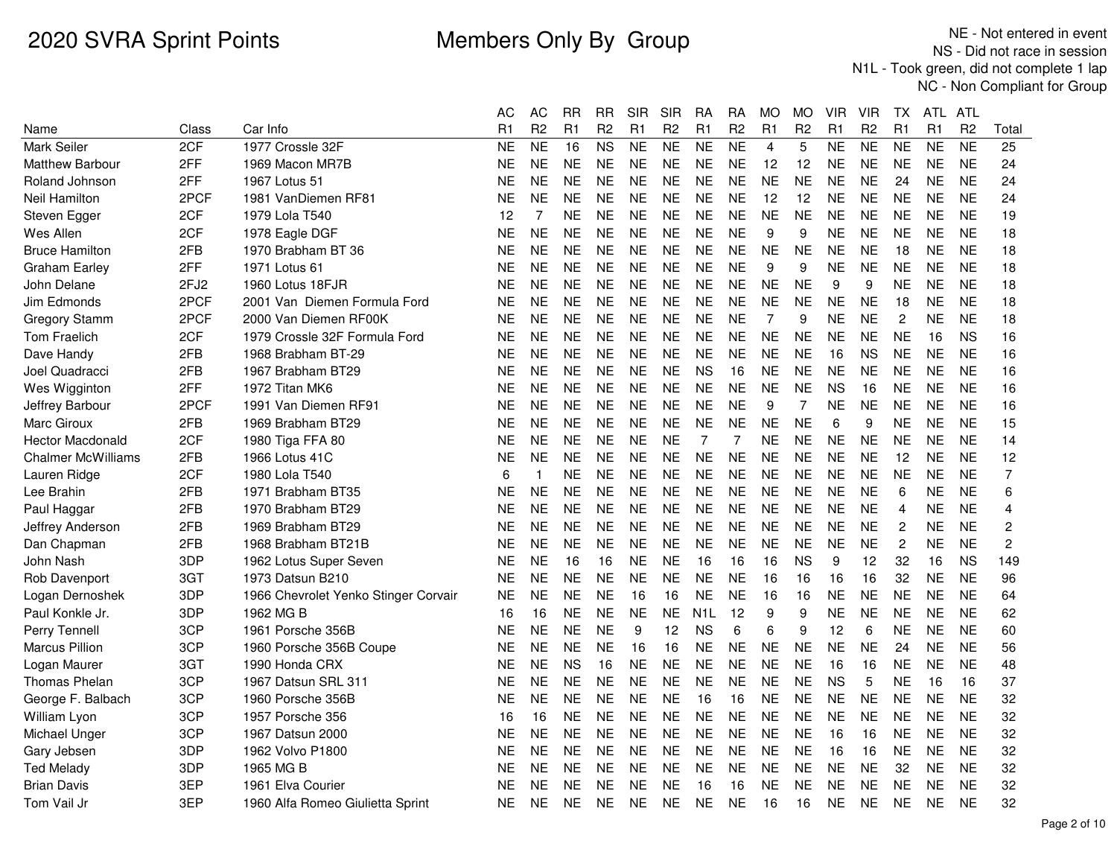|                           |                  |                                      | AС             | AС             | RR        | RR             | SIR       | SIR            | RA               | RA             | MO             | МO             | VIR            | VIR            | TХ             | ATL.      | ATL            |                |
|---------------------------|------------------|--------------------------------------|----------------|----------------|-----------|----------------|-----------|----------------|------------------|----------------|----------------|----------------|----------------|----------------|----------------|-----------|----------------|----------------|
| Name                      | Class            | Car Info                             | R <sub>1</sub> | R <sub>2</sub> | R1        | R <sub>2</sub> | R1        | R <sub>2</sub> | R1               | R <sub>2</sub> | R <sub>1</sub> | R <sub>2</sub> | R <sub>1</sub> | R <sub>2</sub> | R <sub>1</sub> | R1        | R <sub>2</sub> | Total          |
| <b>Mark Seiler</b>        | 2CF              | 1977 Crossle 32F                     | <b>NE</b>      | <b>NE</b>      | 16        | <b>NS</b>      | <b>NE</b> | <b>NE</b>      | <b>NE</b>        | <b>NE</b>      | $\overline{4}$ | 5              | <b>NE</b>      | <b>NE</b>      | <b>NE</b>      | <b>NE</b> | <b>NE</b>      | 25             |
| <b>Matthew Barbour</b>    | 2FF              | 1969 Macon MR7B                      | <b>NE</b>      | <b>NE</b>      | <b>NE</b> | <b>NE</b>      | <b>NE</b> | <b>NE</b>      | <b>NE</b>        | <b>NE</b>      | 12             | 12             | <b>NE</b>      | <b>NE</b>      | <b>NE</b>      | <b>NE</b> | <b>NE</b>      | 24             |
| Roland Johnson            | 2FF              | 1967 Lotus 51                        | <b>NE</b>      | <b>NE</b>      | <b>NE</b> | <b>NE</b>      | <b>NE</b> | <b>NE</b>      | <b>NE</b>        | <b>NE</b>      | <b>NE</b>      | <b>NE</b>      | <b>NE</b>      | <b>NE</b>      | 24             | <b>NE</b> | <b>NE</b>      | 24             |
| Neil Hamilton             | 2PCF             | 1981 VanDiemen RF81                  | NE             | <b>NE</b>      | <b>NE</b> | <b>NE</b>      | <b>NE</b> | <b>NE</b>      | <b>NE</b>        | <b>NE</b>      | 12             | 12             | <b>NE</b>      | <b>NE</b>      | <b>NE</b>      | <b>NE</b> | <b>NE</b>      | 24             |
| Steven Egger              | 2CF              | 1979 Lola T540                       | 12             | 7              | <b>NE</b> | NE             | <b>NE</b> | <b>NE</b>      | <b>NE</b>        | <b>NE</b>      | <b>NE</b>      | <b>NE</b>      | NE             | <b>NE</b>      | <b>NE</b>      | <b>NE</b> | <b>NE</b>      | 19             |
| Wes Allen                 | 2CF              | 1978 Eagle DGF                       | <b>NE</b>      | <b>NE</b>      | <b>NE</b> | <b>NE</b>      | <b>NE</b> | <b>NE</b>      | <b>NE</b>        | <b>NE</b>      | 9              | 9              | <b>NE</b>      | <b>NE</b>      | <b>NE</b>      | <b>NE</b> | <b>NE</b>      | 18             |
| <b>Bruce Hamilton</b>     | 2FB              | 1970 Brabham BT 36                   | <b>NE</b>      | <b>NE</b>      | <b>NE</b> | <b>NE</b>      | <b>NE</b> | <b>NE</b>      | <b>NE</b>        | <b>NE</b>      | <b>NE</b>      | <b>NE</b>      | <b>NE</b>      | <b>NE</b>      | 18             | <b>NE</b> | <b>NE</b>      | 18             |
| <b>Graham Earley</b>      | 2FF              | 1971 Lotus 61                        | <b>NE</b>      | <b>NE</b>      | <b>NE</b> | <b>NE</b>      | <b>NE</b> | <b>NE</b>      | <b>NE</b>        | <b>NE</b>      | 9              | 9              | <b>NE</b>      | <b>NE</b>      | <b>NE</b>      | <b>NE</b> | <b>NE</b>      | 18             |
| John Delane               | 2FJ <sub>2</sub> | 1960 Lotus 18FJR                     | <b>NE</b>      | <b>NE</b>      | <b>NE</b> | <b>NE</b>      | <b>NE</b> | <b>NE</b>      | <b>NE</b>        | <b>NE</b>      | <b>NE</b>      | <b>NE</b>      | 9              | 9              | <b>NE</b>      | <b>NE</b> | <b>NE</b>      | 18             |
| Jim Edmonds               | 2PCF             | 2001 Van Diemen Formula Ford         | NE             | <b>NE</b>      | <b>NE</b> | <b>NE</b>      | <b>NE</b> | <b>NE</b>      | <b>NE</b>        | <b>NE</b>      | <b>NE</b>      | <b>NE</b>      | NE             | NE             | 18             | <b>NE</b> | <b>NE</b>      | 18             |
| <b>Gregory Stamm</b>      | 2PCF             | 2000 Van Diemen RF00K                | <b>NE</b>      | <b>NE</b>      | <b>NE</b> | <b>NE</b>      | <b>NE</b> | <b>NE</b>      | <b>NE</b>        | <b>NE</b>      | 7              | 9              | <b>NE</b>      | <b>NE</b>      | $\overline{c}$ | <b>NE</b> | <b>NE</b>      | 18             |
| <b>Tom Fraelich</b>       | 2CF              | 1979 Crossle 32F Formula Ford        | <b>NE</b>      | <b>NE</b>      | <b>NE</b> | <b>NE</b>      | <b>NE</b> | <b>NE</b>      | <b>NE</b>        | <b>NE</b>      | <b>NE</b>      | <b>NE</b>      | <b>NE</b>      | <b>NE</b>      | <b>NE</b>      | 16        | <b>NS</b>      | 16             |
| Dave Handy                | 2FB              | 1968 Brabham BT-29                   | <b>NE</b>      | <b>NE</b>      | NE.       | <b>NE</b>      | <b>NE</b> | <b>NE</b>      | <b>NE</b>        | <b>NE</b>      | <b>NE</b>      | <b>NE</b>      | 16             | <b>NS</b>      | <b>NE</b>      | <b>NE</b> | <b>NE</b>      | 16             |
| Joel Quadracci            | 2FB              | 1967 Brabham BT29                    | <b>NE</b>      | <b>NE</b>      | <b>NE</b> | <b>NE</b>      | <b>NE</b> | <b>NE</b>      | <b>NS</b>        | 16             | <b>NE</b>      | <b>NE</b>      | <b>NE</b>      | <b>NE</b>      | <b>NE</b>      | <b>NE</b> | <b>NE</b>      | 16             |
| Wes Wigginton             | 2FF              | 1972 Titan MK6                       | <b>NE</b>      | <b>NE</b>      | <b>NE</b> | <b>NE</b>      | <b>NE</b> | <b>NE</b>      | <b>NE</b>        | <b>NE</b>      | <b>NE</b>      | <b>NE</b>      | <b>NS</b>      | 16             | <b>NE</b>      | <b>NE</b> | <b>NE</b>      | 16             |
| Jeffrey Barbour           | 2PCF             | 1991 Van Diemen RF91                 | NE             | <b>NE</b>      | NE.       | <b>NE</b>      | <b>NE</b> | <b>NE</b>      | <b>NE</b>        | <b>NE</b>      | 9              | 7              | <b>NE</b>      | <b>NE</b>      | <b>NE</b>      | <b>NE</b> | <b>NE</b>      | 16             |
| Marc Giroux               | 2FB              | 1969 Brabham BT29                    | <b>NE</b>      | <b>NE</b>      | <b>NE</b> | <b>NE</b>      | <b>NE</b> | <b>NE</b>      | <b>NE</b>        | <b>NE</b>      | <b>NE</b>      | <b>NE</b>      | 6              | 9              | <b>NE</b>      | <b>NE</b> | <b>NE</b>      | 15             |
| <b>Hector Macdonald</b>   | 2CF              | 1980 Tiga FFA 80                     | NE             | <b>NE</b>      | <b>NE</b> | <b>NE</b>      | <b>NE</b> | <b>NE</b>      | 7                | 7              | <b>NE</b>      | <b>NE</b>      | <b>NE</b>      | <b>NE</b>      | <b>NE</b>      | <b>NE</b> | <b>NE</b>      | 14             |
| <b>Chalmer McWilliams</b> | 2FB              | 1966 Lotus 41C                       | <b>NE</b>      | <b>NE</b>      | <b>NE</b> | <b>NE</b>      | <b>NE</b> | <b>NE</b>      | <b>NE</b>        | <b>NE</b>      | <b>NE</b>      | <b>NE</b>      | <b>NE</b>      | <b>NE</b>      | 12             | <b>NE</b> | <b>NE</b>      | 12             |
| Lauren Ridge              | 2CF              | 1980 Lola T540                       | 6              | $\mathbf{1}$   | <b>NE</b> | <b>NE</b>      | <b>NE</b> | <b>NE</b>      | <b>NE</b>        | <b>NE</b>      | <b>NE</b>      | <b>NE</b>      | <b>NE</b>      | <b>NE</b>      | <b>NE</b>      | <b>NE</b> | <b>NE</b>      | $\overline{7}$ |
| Lee Brahin                | 2FB              | 1971 Brabham BT35                    | NE             | <b>NE</b>      | <b>NE</b> | <b>NE</b>      | <b>NE</b> | <b>NE</b>      | <b>NE</b>        | <b>NE</b>      | <b>NE</b>      | <b>NE</b>      | <b>NE</b>      | <b>NE</b>      | 6              | <b>NE</b> | <b>NE</b>      | 6              |
| Paul Haggar               | 2FB              | 1970 Brabham BT29                    | NE             | <b>NE</b>      | <b>NE</b> | <b>NE</b>      | <b>NE</b> | <b>NE</b>      | <b>NE</b>        | <b>NE</b>      | <b>NE</b>      | <b>NE</b>      | <b>NE</b>      | <b>NE</b>      | $\overline{4}$ | <b>NE</b> | <b>NE</b>      | 4              |
| Jeffrey Anderson          | 2FB              | 1969 Brabham BT29                    | <b>NE</b>      | <b>NE</b>      | <b>NE</b> | <b>NE</b>      | <b>NE</b> | <b>NE</b>      | <b>NE</b>        | <b>NE</b>      | <b>NE</b>      | <b>NE</b>      | <b>NE</b>      | <b>NE</b>      | $\overline{c}$ | <b>NE</b> | <b>NE</b>      | 2              |
| Dan Chapman               | 2FB              | 1968 Brabham BT21B                   | <b>NE</b>      | <b>NE</b>      | <b>NE</b> | <b>NE</b>      | <b>NE</b> | <b>NE</b>      | <b>NE</b>        | <b>NE</b>      | <b>NE</b>      | <b>NE</b>      | <b>NE</b>      | <b>NE</b>      | $\overline{c}$ | <b>NE</b> | <b>NE</b>      | $\overline{c}$ |
| John Nash                 | 3DP              | 1962 Lotus Super Seven               | <b>NE</b>      | <b>NE</b>      | 16        | 16             | <b>NE</b> | <b>NE</b>      | 16               | 16             | 16             | <b>NS</b>      | 9              | 12             | 32             | 16        | <b>NS</b>      | 149            |
| Rob Davenport             | 3GT              | 1973 Datsun B210                     | <b>NE</b>      | <b>NE</b>      | <b>NE</b> | <b>NE</b>      | <b>NE</b> | <b>NE</b>      | <b>NE</b>        | <b>NE</b>      | 16             | 16             | 16             | 16             | 32             | <b>NE</b> | <b>NE</b>      | 96             |
| Logan Dernoshek           | 3DP              | 1966 Chevrolet Yenko Stinger Corvair | NE             | <b>NE</b>      | <b>NE</b> | <b>NE</b>      | 16        | 16             | <b>NE</b>        | <b>NE</b>      | 16             | 16             | <b>NE</b>      | <b>NE</b>      | <b>NE</b>      | <b>NE</b> | <b>NE</b>      | 64             |
| Paul Konkle Jr.           | 3DP              | 1962 MG B                            | 16             | 16             | <b>NE</b> | <b>NE</b>      | <b>NE</b> | <b>NE</b>      | N <sub>1</sub> L | 12             | 9              | 9              | <b>NE</b>      | <b>NE</b>      | <b>NE</b>      | <b>NE</b> | <b>NE</b>      | 62             |
| Perry Tennell             | 3CP              | 1961 Porsche 356B                    | <b>NE</b>      | <b>NE</b>      | <b>NE</b> | <b>NE</b>      | 9         | 12             | <b>NS</b>        | 6              | 6              | 9              | 12             | 6              | <b>NE</b>      | <b>NE</b> | <b>NE</b>      | 60             |
| Marcus Pillion            | 3CP              | 1960 Porsche 356B Coupe              | <b>NE</b>      | <b>NE</b>      | <b>NE</b> | <b>NE</b>      | 16        | 16             | <b>NE</b>        | <b>NE</b>      | <b>NE</b>      | <b>NE</b>      | <b>NE</b>      | <b>NE</b>      | 24             | <b>NE</b> | <b>NE</b>      | 56             |
| Logan Maurer              | 3GT              | 1990 Honda CRX                       | NE             | <b>NE</b>      | <b>NS</b> | 16             | <b>NE</b> | <b>NE</b>      | <b>NE</b>        | <b>NE</b>      | <b>NE</b>      | <b>NE</b>      | 16             | 16             | NE             | <b>NE</b> | <b>NE</b>      | 48             |
| <b>Thomas Phelan</b>      | 3CP              | 1967 Datsun SRL 311                  | <b>NE</b>      | <b>NE</b>      | <b>NE</b> | <b>NE</b>      | <b>NE</b> | <b>NE</b>      | <b>NE</b>        | <b>NE</b>      | <b>NE</b>      | <b>NE</b>      | <b>NS</b>      | 5              | <b>NE</b>      | 16        | 16             | 37             |
| George F. Balbach         | 3CP              | 1960 Porsche 356B                    | NE             | <b>NE</b>      | <b>NE</b> | <b>NE</b>      | <b>NE</b> | <b>NE</b>      | 16               | 16             | <b>NE</b>      | <b>NE</b>      | <b>NE</b>      | <b>NE</b>      | <b>NE</b>      | <b>NE</b> | <b>NE</b>      | 32             |
| William Lyon              | 3CP              | 1957 Porsche 356                     | 16             | 16             | <b>NE</b> | NE             | <b>NE</b> | <b>NE</b>      | <b>NE</b>        | <b>NE</b>      | <b>NE</b>      | <b>NE</b>      | <b>NE</b>      | <b>NE</b>      | <b>NE</b>      | <b>NE</b> | <b>NE</b>      | 32             |
| Michael Unger             | 3CP              | 1967 Datsun 2000                     | <b>NE</b>      | <b>NE</b>      | <b>NE</b> | <b>NE</b>      | <b>NE</b> | <b>NE</b>      | <b>NE</b>        | <b>NE</b>      | <b>NE</b>      | <b>NE</b>      | 16             | 16             | <b>NE</b>      | <b>NE</b> | <b>NE</b>      | 32             |
| Gary Jebsen               | 3DP              | 1962 Volvo P1800                     | NE             | <b>NE</b>      | <b>NE</b> | <b>NE</b>      | <b>NE</b> | <b>NE</b>      | <b>NE</b>        | <b>NE</b>      | <b>NE</b>      | <b>NE</b>      | 16             | 16             | <b>NE</b>      | <b>NE</b> | <b>NE</b>      | 32             |
| <b>Ted Melady</b>         | 3DP              | 1965 MG B                            | <b>NE</b>      | <b>NE</b>      | <b>NE</b> | <b>NE</b>      | <b>NE</b> | <b>NE</b>      | <b>NE</b>        | <b>NE</b>      | <b>NE</b>      | <b>NE</b>      | <b>NE</b>      | <b>NE</b>      | 32             | <b>NE</b> | <b>NE</b>      | 32             |
| <b>Brian Davis</b>        | 3EP              | 1961 Elva Courier                    | <b>NE</b>      | <b>NE</b>      | <b>NE</b> | <b>NE</b>      | <b>NE</b> | <b>NE</b>      | 16               | 16             | <b>NE</b>      | <b>NE</b>      | <b>NE</b>      | <b>NE</b>      | <b>NE</b>      | <b>NE</b> | <b>NE</b>      | 32             |
| Tom Vail Jr               | 3EP              | 1960 Alfa Romeo Giulietta Sprint     | NE             | <b>NE</b>      | <b>NE</b> | NE             | <b>NE</b> | <b>NE</b>      | <b>NE</b>        | <b>NE</b>      | 16             | 16             | <b>NE</b>      | NE             | NE             | <b>NE</b> | <b>NE</b>      | 32             |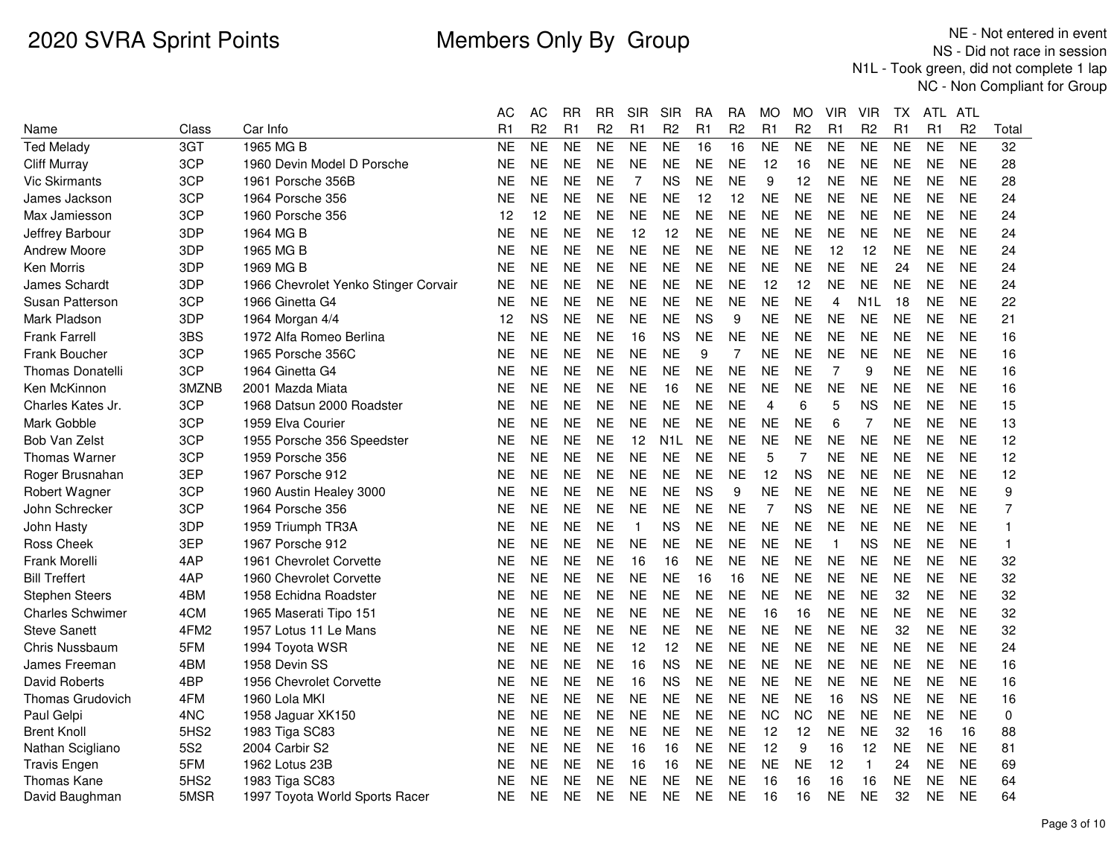|                         |                  |                                      | AC        | <b>AC</b>      | <b>RR</b> | <b>RR</b>              | <b>SIR</b>     | <b>SIR</b>     | <b>RA</b>      | <b>RA</b>      | <b>MO</b>      | <b>MO</b>      | <b>VIR</b>     | <b>VIR</b>       | <b>TX</b> | ATL            | ATL            |                |
|-------------------------|------------------|--------------------------------------|-----------|----------------|-----------|------------------------|----------------|----------------|----------------|----------------|----------------|----------------|----------------|------------------|-----------|----------------|----------------|----------------|
| Name                    | Class            | Car Info                             | R1        | R <sub>2</sub> | R1        | R <sub>2</sub>         | R1             | R <sub>2</sub> | R <sub>1</sub> | R <sub>2</sub> | R1             | R <sub>2</sub> | R1             | R <sub>2</sub>   | R1        | R1             | R <sub>2</sub> | Total          |
| <b>Ted Melady</b>       | 3GT              | 1965 MG B                            | <b>NE</b> | <b>NE</b>      | <b>NE</b> | $\overline{\text{NE}}$ | <b>NE</b>      | <b>NE</b>      | 16             | 16             | <b>NE</b>      | <b>NE</b>      | <b>NE</b>      | <b>NE</b>        | <b>NE</b> | N <sub>E</sub> | <b>NE</b>      | 32             |
| <b>Cliff Murray</b>     | 3CP              | 1960 Devin Model D Porsche           | NΕ        | <b>NE</b>      | <b>NE</b> | <b>NE</b>              | <b>NE</b>      | <b>NE</b>      | <b>NE</b>      | <b>NE</b>      | 12             | 16             | <b>NE</b>      | <b>NE</b>        | <b>NE</b> | <b>NE</b>      | <b>NE</b>      | 28             |
| <b>Vic Skirmants</b>    | 3CP              | 1961 Porsche 356B                    | ΝE        | <b>NE</b>      | <b>NE</b> | <b>NE</b>              | $\overline{7}$ | <b>NS</b>      | <b>NE</b>      | <b>NE</b>      | 9              | 12             | <b>NE</b>      | <b>NE</b>        | <b>NE</b> | <b>NE</b>      | <b>NE</b>      | 28             |
| James Jackson           | 3CP              | 1964 Porsche 356                     | NE        | <b>NE</b>      | <b>NE</b> | <b>NE</b>              | <b>NE</b>      | NE             | 12             | 12             | NΕ             | <b>NE</b>      | <b>NE</b>      | <b>NE</b>        | <b>NE</b> | <b>NE</b>      | <b>NE</b>      | 24             |
| Max Jamiesson           | 3CP              | 1960 Porsche 356                     | 12        | 12             | <b>NE</b> | <b>NE</b>              | <b>NE</b>      | <b>NE</b>      | <b>NE</b>      | <b>NE</b>      | <b>NE</b>      | <b>NE</b>      | <b>NE</b>      | <b>NE</b>        | <b>NE</b> | <b>NE</b>      | <b>NE</b>      | 24             |
| Jeffrey Barbour         | 3DP              | 1964 MG B                            | ΝE        | <b>NE</b>      | <b>NE</b> | <b>NE</b>              | 12             | 12             | <b>NE</b>      | <b>NE</b>      | <b>NE</b>      | <b>NE</b>      | <b>NE</b>      | <b>NE</b>        | <b>NE</b> | <b>NE</b>      | <b>NE</b>      | 24             |
| <b>Andrew Moore</b>     | 3DP              | 1965 MG B                            | NE        | <b>NE</b>      | <b>NE</b> | <b>NE</b>              | <b>NE</b>      | <b>NE</b>      | <b>NE</b>      | <b>NE</b>      | <b>NE</b>      | <b>NE</b>      | 12             | 12               | <b>NE</b> | <b>NE</b>      | <b>NE</b>      | 24             |
| Ken Morris              | 3DP              | 1969 MG B                            | NE.       | <b>NE</b>      | <b>NE</b> | <b>NE</b>              | <b>NE</b>      | <b>NE</b>      | <b>NE</b>      | <b>NE</b>      | <b>NE</b>      | NE.            | <b>NE</b>      | <b>NE</b>        | 24        | <b>NE</b>      | <b>NE</b>      | 24             |
| James Schardt           | 3DP              | 1966 Chevrolet Yenko Stinger Corvair | <b>NE</b> | <b>NE</b>      | <b>NE</b> | <b>NE</b>              | <b>NE</b>      | <b>NE</b>      | <b>NE</b>      | <b>NE</b>      | 12             | 12             | <b>NE</b>      | <b>NE</b>        | <b>NE</b> | <b>NE</b>      | <b>NE</b>      | 24             |
| Susan Patterson         | 3CP              | 1966 Ginetta G4                      | ΝE        | <b>NE</b>      | <b>NE</b> | <b>NE</b>              | <b>NE</b>      | <b>NE</b>      | <b>NE</b>      | <b>NE</b>      | <b>NE</b>      | <b>NE</b>      | 4              | N <sub>1</sub> L | 18        | <b>NE</b>      | <b>NE</b>      | 22             |
| Mark Pladson            | 3DP              | 1964 Morgan 4/4                      | 12        | <b>NS</b>      | <b>NE</b> | <b>NE</b>              | <b>NE</b>      | <b>NE</b>      | <b>NS</b>      | 9              | <b>NE</b>      | <b>NE</b>      | <b>NE</b>      | <b>NE</b>        | <b>NE</b> | <b>NE</b>      | <b>NE</b>      | 21             |
| <b>Frank Farrell</b>    | 3BS              | 1972 Alfa Romeo Berlina              | ΝE        | <b>NE</b>      | <b>NE</b> | <b>NE</b>              | 16             | <b>NS</b>      | <b>NE</b>      | <b>NE</b>      | <b>NE</b>      | <b>NE</b>      | <b>NE</b>      | <b>NE</b>        | <b>NE</b> | <b>NE</b>      | <b>NE</b>      | 16             |
| <b>Frank Boucher</b>    | 3CP              | 1965 Porsche 356C                    | NΕ        | <b>NE</b>      | <b>NE</b> | <b>NE</b>              | <b>NE</b>      | <b>NE</b>      | 9              | $\overline{7}$ | NE             | <b>NE</b>      | <b>NE</b>      | <b>NE</b>        | <b>NE</b> | <b>NE</b>      | <b>NE</b>      | 16             |
| <b>Thomas Donatelli</b> | 3CP              | 1964 Ginetta G4                      | NΕ        | <b>NE</b>      | <b>NE</b> | <b>NE</b>              | <b>NE</b>      | <b>NE</b>      | <b>NE</b>      | <b>NE</b>      | <b>NE</b>      | <b>NE</b>      | 7              | 9                | <b>NE</b> | <b>NE</b>      | <b>NE</b>      | 16             |
| Ken McKinnon            | 3MZNB            | 2001 Mazda Miata                     | ΝE        | <b>NE</b>      | <b>NE</b> | <b>NE</b>              | <b>NE</b>      | 16             | <b>NE</b>      | <b>NE</b>      | <b>NE</b>      | <b>NE</b>      | <b>NE</b>      | <b>NE</b>        | <b>NE</b> | <b>NE</b>      | <b>NE</b>      | 16             |
| Charles Kates Jr.       | 3CP              | 1968 Datsun 2000 Roadster            | NΕ        | <b>NE</b>      | <b>NE</b> | <b>NE</b>              | <b>NE</b>      | <b>NE</b>      | <b>NE</b>      | <b>NE</b>      | 4              | 6              | 5              | <b>NS</b>        | <b>NE</b> | <b>NE</b>      | <b>NE</b>      | 15             |
| Mark Gobble             | 3CP              | 1959 Elva Courier                    | ΝE        | <b>NE</b>      | <b>NE</b> | <b>NE</b>              | <b>NE</b>      | <b>NE</b>      | <b>NE</b>      | <b>NE</b>      | <b>NE</b>      | <b>NE</b>      | 6              | 7                | <b>NE</b> | <b>NE</b>      | <b>NE</b>      | 13             |
| Bob Van Zelst           | 3CP              | 1955 Porsche 356 Speedster           | NE.       | <b>NE</b>      | <b>NE</b> | <b>NE</b>              | 12             | N1L            | <b>NE</b>      | <b>NE</b>      | <b>NE</b>      | <b>NE</b>      | <b>NE</b>      | <b>NE</b>        | <b>NE</b> | <b>NE</b>      | <b>NE</b>      | 12             |
| <b>Thomas Warner</b>    | 3CP              | 1959 Porsche 356                     | NΕ        | <b>NE</b>      | <b>NE</b> | <b>NE</b>              | <b>NE</b>      | <b>NE</b>      | <b>NE</b>      | <b>NE</b>      | 5              | 7              | <b>NE</b>      | <b>NE</b>        | <b>NE</b> | NE.            | <b>NE</b>      | 12             |
| Roger Brusnahan         | 3EP              | 1967 Porsche 912                     | <b>NE</b> | <b>NE</b>      | <b>NE</b> | <b>NE</b>              | <b>NE</b>      | <b>NE</b>      | <b>NE</b>      | <b>NE</b>      | 12             | <b>NS</b>      | <b>NE</b>      | <b>NE</b>        | <b>NE</b> | <b>NE</b>      | <b>NE</b>      | 12             |
| Robert Wagner           | 3CP              | 1960 Austin Healey 3000              | NE        | <b>NE</b>      | <b>NE</b> | <b>NE</b>              | <b>NE</b>      | <b>NE</b>      | <b>NS</b>      | 9              | <b>NE</b>      | <b>NE</b>      | <b>NE</b>      | <b>NE</b>        | <b>NE</b> | <b>NE</b>      | <b>NE</b>      | 9              |
| John Schrecker          | 3CP              | 1964 Porsche 356                     | NE.       | <b>NE</b>      | <b>NE</b> | <b>NE</b>              | <b>NE</b>      | <b>NE</b>      | <b>NE</b>      | <b>NE</b>      | $\overline{7}$ | <b>NS</b>      | <b>NE</b>      | <b>NE</b>        | <b>NE</b> | <b>NE</b>      | <b>NE</b>      | $\overline{7}$ |
| John Hasty              | 3DP              | 1959 Triumph TR3A                    | ΝE        | <b>NE</b>      | <b>NE</b> | <b>NE</b>              | $\mathbf{1}$   | <b>NS</b>      | <b>NE</b>      | <b>NE</b>      | <b>NE</b>      | <b>NE</b>      | <b>NE</b>      | <b>NE</b>        | <b>NE</b> | <b>NE</b>      | <b>NE</b>      | 1              |
| <b>Ross Cheek</b>       | 3EP              | 1967 Porsche 912                     | NE        | <b>NE</b>      | <b>NE</b> | <b>NE</b>              | <b>NE</b>      | <b>NE</b>      | <b>NE</b>      | <b>NE</b>      | <b>NE</b>      | <b>NE</b>      | $\overline{1}$ | <b>NS</b>        | <b>NE</b> | <b>NE</b>      | <b>NE</b>      | 1              |
| <b>Frank Morelli</b>    | 4AP              | 1961 Chevrolet Corvette              | NΕ        | <b>NE</b>      | <b>NE</b> | <b>NE</b>              | 16             | 16             | <b>NE</b>      | NE             | <b>NE</b>      | <b>NE</b>      | <b>NE</b>      | <b>NE</b>        | <b>NE</b> | <b>NE</b>      | <b>NE</b>      | 32             |
| <b>Bill Treffert</b>    | 4AP              | 1960 Chevrolet Corvette              | <b>NE</b> | <b>NE</b>      | <b>NE</b> | <b>NE</b>              | <b>NE</b>      | <b>NE</b>      | 16             | 16             | <b>NE</b>      | <b>NE</b>      | <b>NE</b>      | <b>NE</b>        | <b>NE</b> | <b>NE</b>      | <b>NE</b>      | 32             |
| <b>Stephen Steers</b>   | 4BM              | 1958 Echidna Roadster                | ΝE        | <b>NE</b>      | <b>NE</b> | <b>NE</b>              | <b>NE</b>      | <b>NE</b>      | <b>NE</b>      | <b>NE</b>      | <b>NE</b>      | <b>NE</b>      | <b>NE</b>      | <b>NE</b>        | 32        | <b>NE</b>      | <b>NE</b>      | 32             |
| <b>Charles Schwimer</b> | 4CM              | 1965 Maserati Tipo 151               | ΝE        | <b>NE</b>      | <b>NE</b> | <b>NE</b>              | <b>NE</b>      | <b>NE</b>      | <b>NE</b>      | <b>NE</b>      | 16             | 16             | <b>NE</b>      | <b>NE</b>        | <b>NE</b> | <b>NE</b>      | <b>NE</b>      | 32             |
| <b>Steve Sanett</b>     | 4FM <sub>2</sub> | 1957 Lotus 11 Le Mans                | ΝE        | <b>NE</b>      | <b>NE</b> | <b>NE</b>              | <b>NE</b>      | <b>NE</b>      | <b>NE</b>      | <b>NE</b>      | <b>NE</b>      | <b>NE</b>      | <b>NE</b>      | <b>NE</b>        | 32        | <b>NE</b>      | <b>NE</b>      | 32             |
| Chris Nussbaum          | 5FM              | 1994 Toyota WSR                      | NE        | <b>NE</b>      | <b>NE</b> | <b>NE</b>              | 12             | 12             | <b>NE</b>      | <b>NE</b>      | NE             | <b>NE</b>      | <b>NE</b>      | <b>NE</b>        | <b>NE</b> | <b>NE</b>      | <b>NE</b>      | 24             |
| James Freeman           | 4BM              | 1958 Devin SS                        | NΕ        | <b>NE</b>      | <b>NE</b> | <b>NE</b>              | 16             | <b>NS</b>      | <b>NE</b>      | NE             | <b>NE</b>      | NE.            | <b>NE</b>      | <b>NE</b>        | <b>NE</b> | <b>NE</b>      | <b>NE</b>      | 16             |
| <b>David Roberts</b>    | 4BP              | 1956 Chevrolet Corvette              | <b>NE</b> | <b>NE</b>      | <b>NE</b> | <b>NE</b>              | 16             | <b>NS</b>      | <b>NE</b>      | <b>NE</b>      | <b>NE</b>      | <b>NE</b>      | <b>NE</b>      | <b>NE</b>        | <b>NE</b> | <b>NE</b>      | <b>NE</b>      | 16             |
| Thomas Grudovich        | 4FM              | 1960 Lola MKI                        | NΕ        | <b>NE</b>      | <b>NE</b> | <b>NE</b>              | <b>NE</b>      | <b>NE</b>      | <b>NE</b>      | <b>NE</b>      | <b>NE</b>      | <b>NE</b>      | 16             | <b>NS</b>        | <b>NE</b> | NE.            | <b>NE</b>      | 16             |
| Paul Gelpi              | 4NC              | 1958 Jaguar XK150                    | NE        | <b>NE</b>      | <b>NE</b> | <b>NE</b>              | <b>NE</b>      | <b>NE</b>      | <b>NE</b>      | <b>NE</b>      | <b>NC</b>      | <b>NC</b>      | <b>NE</b>      | <b>NE</b>        | <b>NE</b> | <b>NE</b>      | <b>NE</b>      | 0              |
| <b>Brent Knoll</b>      | 5HS <sub>2</sub> | 1983 Tiga SC83                       | NE.       | <b>NE</b>      | <b>NE</b> | <b>NE</b>              | <b>NE</b>      | <b>NE</b>      | <b>NE</b>      | <b>NE</b>      | 12             | 12             | <b>NE</b>      | <b>NE</b>        | 32        | 16             | 16             | 88             |
| Nathan Scigliano        | <b>5S2</b>       | 2004 Carbir S2                       | <b>NE</b> | <b>NE</b>      | <b>NE</b> | <b>NE</b>              | 16             | 16             | <b>NE</b>      | <b>NE</b>      | 12             | 9              | 16             | 12               | <b>NE</b> | <b>NE</b>      | <b>NE</b>      | 81             |
| <b>Travis Engen</b>     | 5FM              | 1962 Lotus 23B                       | ΝE        | <b>NE</b>      | <b>NE</b> | <b>NE</b>              | 16             | 16             | <b>NE</b>      | <b>NE</b>      | <b>NE</b>      | <b>NE</b>      | 12             | $\mathbf{1}$     | 24        | <b>NE</b>      | <b>NE</b>      | 69             |
| <b>Thomas Kane</b>      | 5HS2             | 1983 Tiga SC83                       | NE        | <b>NE</b>      | <b>NE</b> | <b>NE</b>              | <b>NE</b>      | NE             | <b>NE</b>      | <b>NE</b>      | 16             | 16             | 16             | 16               | <b>NE</b> | <b>NE</b>      | <b>NE</b>      | 64             |
| David Baughman          | 5MSR             | 1997 Toyota World Sports Racer       | ΝE        | <b>NE</b>      | <b>NE</b> | <b>NE</b>              | <b>NE</b>      | <b>NE</b>      | <b>NE</b>      | <b>NE</b>      | 16             | 16             | <b>NE</b>      | <b>NE</b>        | 32        | <b>NE</b>      | <b>NE</b>      | 64             |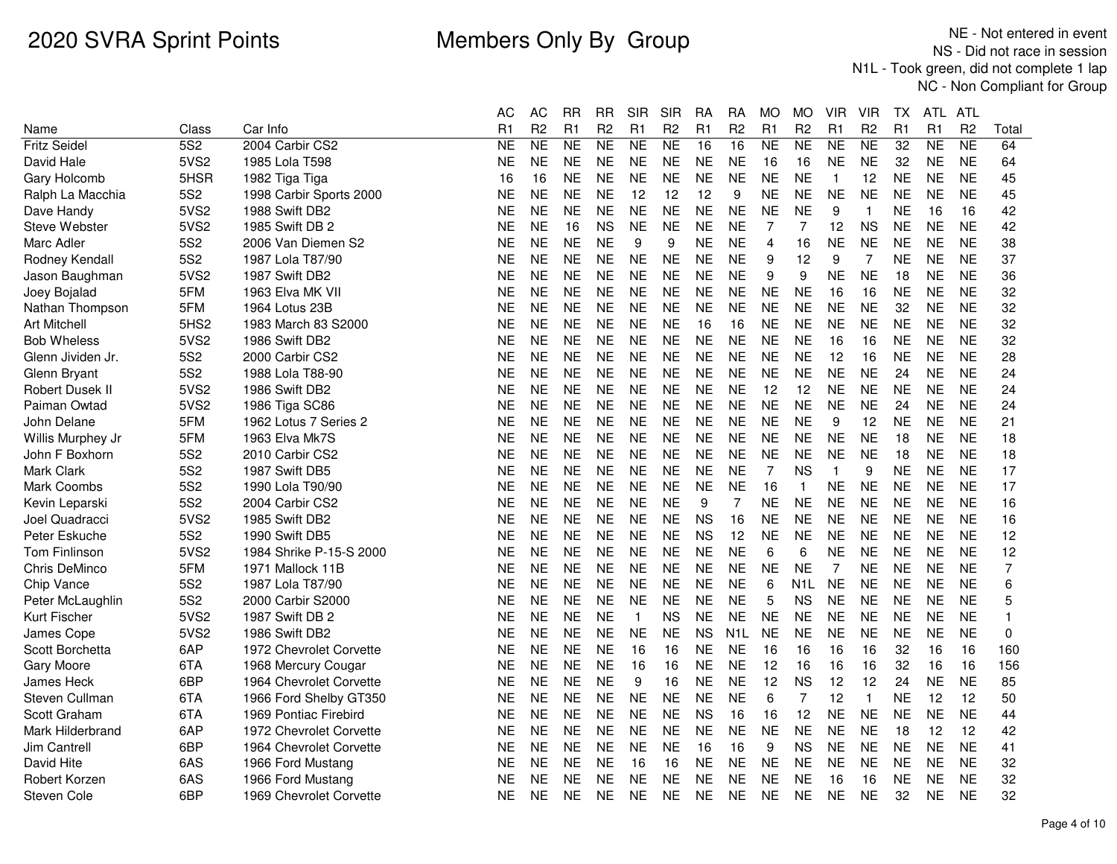|                        |                 |                         | АC        | АC             | RR        | RR             | SIR          | SIR            | RA        | RA               | MO             | МO             | VIR       | VIR            | ТX        | ATL.      | ATL            |                |
|------------------------|-----------------|-------------------------|-----------|----------------|-----------|----------------|--------------|----------------|-----------|------------------|----------------|----------------|-----------|----------------|-----------|-----------|----------------|----------------|
| Name                   | Class           | Car Info                | R1        | R <sub>2</sub> | R1        | R <sub>2</sub> | R1           | R <sub>2</sub> | R1        | R <sub>2</sub>   | R1             | R <sub>2</sub> | R1        | R <sub>2</sub> | R1        | R1        | R <sub>2</sub> | Total          |
| <b>Fritz Seidel</b>    | 5S <sub>2</sub> | 2004 Carbir CS2         | <b>NE</b> | <b>NE</b>      | <b>NE</b> | NE             | <b>NE</b>    | <b>NE</b>      | 16        | 16               | <b>NE</b>      | <b>NE</b>      | <b>NE</b> | <b>NE</b>      | 32        | <b>NE</b> | <b>NE</b>      | 64             |
| David Hale             | 5VS2            | 1985 Lola T598          | <b>NE</b> | <b>NE</b>      | <b>NE</b> | <b>NE</b>      | <b>NE</b>    | <b>NE</b>      | <b>NE</b> | <b>NE</b>        | 16             | 16             | <b>NE</b> | <b>NE</b>      | 32        | <b>NE</b> | <b>NE</b>      | 64             |
| Gary Holcomb           | 5HSR            | 1982 Tiga Tiga          | 16        | 16             | <b>NE</b> | <b>NE</b>      | <b>NE</b>    | <b>NE</b>      | <b>NE</b> | <b>NE</b>        | <b>NE</b>      | <b>NE</b>      | 1         | 12             | <b>NE</b> | NΕ        | <b>NE</b>      | 45             |
| Ralph La Macchia       | <b>5S2</b>      | 1998 Carbir Sports 2000 | <b>NE</b> | <b>NE</b>      | <b>NE</b> | <b>NE</b>      | 12           | 12             | 12        | 9                | <b>NE</b>      | <b>NE</b>      | <b>NE</b> | <b>NE</b>      | <b>NE</b> | <b>NE</b> | <b>NE</b>      | 45             |
| Dave Handy             | 5VS2            | 1988 Swift DB2          | NE        | <b>NE</b>      | <b>NE</b> | <b>NE</b>      | <b>NE</b>    | <b>NE</b>      | <b>NE</b> | <b>NE</b>        | <b>NE</b>      | <b>NE</b>      | 9         | $\overline{1}$ | NΕ        | 16        | 16             | 42             |
| Steve Webster          | 5VS2            | 1985 Swift DB 2         | <b>NE</b> | <b>NE</b>      | 16        | <b>NS</b>      | <b>NE</b>    | <b>NE</b>      | <b>NE</b> | <b>NE</b>        | 7              | 7              | 12        | <b>NS</b>      | <b>NE</b> | <b>NE</b> | <b>NE</b>      | 42             |
| Marc Adler             | 5S <sub>2</sub> | 2006 Van Diemen S2      | NE        | ΝE             | <b>NE</b> | NE             | 9            | 9              | NE        | <b>NE</b>        | $\overline{4}$ | 16             | NE        | <b>NE</b>      | NE        | <b>NE</b> | <b>NE</b>      | 38             |
| Rodney Kendall         | <b>5S2</b>      | 1987 Lola T87/90        | <b>NE</b> | <b>NE</b>      | <b>NE</b> | <b>NE</b>      | <b>NE</b>    | <b>NE</b>      | <b>NE</b> | <b>NE</b>        | 9              | 12             | 9         | 7              | <b>NE</b> | <b>NE</b> | <b>NE</b>      | 37             |
| Jason Baughman         | 5VS2            | 1987 Swift DB2          | NE        | <b>NE</b>      | <b>NE</b> | <b>NE</b>      | <b>NE</b>    | <b>NE</b>      | <b>NE</b> | <b>NE</b>        | 9              | 9              | NE        | <b>NE</b>      | 18        | <b>NE</b> | <b>NE</b>      | 36             |
| Joey Bojalad           | 5FM             | 1963 Elva MK VII        | <b>NE</b> | <b>NE</b>      | <b>NE</b> | <b>NE</b>      | <b>NE</b>    | <b>NE</b>      | <b>NE</b> | <b>NE</b>        | <b>NE</b>      | <b>NE</b>      | 16        | 16             | <b>NE</b> | <b>NE</b> | <b>NE</b>      | 32             |
| Nathan Thompson        | 5FM             | 1964 Lotus 23B          | <b>NE</b> | <b>NE</b>      | <b>NE</b> | <b>NE</b>      | <b>NE</b>    | <b>NE</b>      | <b>NE</b> | <b>NE</b>        | <b>NE</b>      | <b>NE</b>      | <b>NE</b> | <b>NE</b>      | 32        | <b>NE</b> | <b>NE</b>      | 32             |
| <b>Art Mitchell</b>    | 5HS2            | 1983 March 83 S2000     | <b>NE</b> | <b>NE</b>      | <b>NE</b> | <b>NE</b>      | <b>NE</b>    | <b>NE</b>      | 16        | 16               | <b>NE</b>      | <b>NE</b>      | <b>NE</b> | <b>NE</b>      | <b>NE</b> | <b>NE</b> | <b>NE</b>      | 32             |
| <b>Bob Wheless</b>     | 5VS2            | 1986 Swift DB2          | <b>NE</b> | <b>NE</b>      | <b>NE</b> | <b>NE</b>      | <b>NE</b>    | <b>NE</b>      | <b>NE</b> | <b>NE</b>        | <b>NE</b>      | <b>NE</b>      | 16        | 16             | <b>NE</b> | <b>NE</b> | <b>NE</b>      | 32             |
| Glenn Jividen Jr.      | 5S <sub>2</sub> | 2000 Carbir CS2         | <b>NE</b> | <b>NE</b>      | <b>NE</b> | <b>NE</b>      | <b>NE</b>    | <b>NE</b>      | <b>NE</b> | <b>NE</b>        | <b>NE</b>      | <b>NE</b>      | 12        | 16             | <b>NE</b> | <b>NE</b> | <b>NE</b>      | 28             |
| Glenn Bryant           | <b>5S2</b>      | 1988 Lola T88-90        | NE        | <b>NE</b>      | <b>NE</b> | NE             | <b>NE</b>    | <b>NE</b>      | <b>NE</b> | <b>NE</b>        | <b>NE</b>      | <b>NE</b>      | <b>NE</b> | <b>NE</b>      | 24        | <b>NE</b> | <b>NE</b>      | 24             |
| <b>Robert Dusek II</b> | 5VS2            | 1986 Swift DB2          | <b>NE</b> | <b>NE</b>      | <b>NE</b> | <b>NE</b>      | <b>NE</b>    | <b>NE</b>      | <b>NE</b> | <b>NE</b>        | 12             | 12             | <b>NE</b> | <b>NE</b>      | <b>NE</b> | <b>NE</b> | <b>NE</b>      | 24             |
| Paiman Owtad           | 5VS2            | 1986 Tiga SC86          | <b>NE</b> | <b>NE</b>      | <b>NE</b> | <b>NE</b>      | <b>NE</b>    | <b>NE</b>      | <b>NE</b> | <b>NE</b>        | <b>NE</b>      | <b>NE</b>      | <b>NE</b> | <b>NE</b>      | 24        | <b>NE</b> | <b>NE</b>      | 24             |
| John Delane            | 5FM             | 1962 Lotus 7 Series 2   | <b>NE</b> | <b>NE</b>      | <b>NE</b> | <b>NE</b>      | <b>NE</b>    | <b>NE</b>      | <b>NE</b> | <b>NE</b>        | <b>NE</b>      | <b>NE</b>      | 9         | 12             | <b>NE</b> | <b>NE</b> | <b>NE</b>      | 21             |
| Willis Murphey Jr      | 5FM             | 1963 Elva Mk7S          | NE        | <b>NE</b>      | <b>NE</b> | NE             | <b>NE</b>    | <b>NE</b>      | <b>NE</b> | <b>NE</b>        | <b>NE</b>      | <b>NE</b>      | <b>NE</b> | <b>NE</b>      | 18        | <b>NE</b> | <b>NE</b>      | 18             |
| John F Boxhorn         | 5S <sub>2</sub> | 2010 Carbir CS2         | <b>NE</b> | <b>NE</b>      | <b>NE</b> | <b>NE</b>      | <b>NE</b>    | <b>NE</b>      | <b>NE</b> | <b>NE</b>        | <b>NE</b>      | <b>NE</b>      | <b>NE</b> | <b>NE</b>      | 18        | <b>NE</b> | <b>NE</b>      | 18             |
| Mark Clark             | 5S <sub>2</sub> | 1987 Swift DB5          | <b>NE</b> | <b>NE</b>      | <b>NE</b> | <b>NE</b>      | <b>NE</b>    | <b>NE</b>      | <b>NE</b> | <b>NE</b>        | $\overline{7}$ | <b>NS</b>      | 1         | 9              | <b>NE</b> | <b>NE</b> | <b>NE</b>      | 17             |
| Mark Coombs            | 5S <sub>2</sub> | 1990 Lola T90/90        | <b>NE</b> | <b>NE</b>      | <b>NE</b> | <b>NE</b>      | <b>NE</b>    | <b>NE</b>      | <b>NE</b> | <b>NE</b>        | 16             | $\mathbf{1}$   | <b>NE</b> | <b>NE</b>      | <b>NE</b> | <b>NE</b> | <b>NE</b>      | 17             |
| Kevin Leparski         | 5S <sub>2</sub> | 2004 Carbir CS2         | <b>NE</b> | <b>NE</b>      | <b>NE</b> | <b>NE</b>      | <b>NE</b>    | <b>NE</b>      | 9         | 7                | <b>NE</b>      | <b>NE</b>      | <b>NE</b> | <b>NE</b>      | <b>NE</b> | <b>NE</b> | <b>NE</b>      | 16             |
| Joel Quadracci         | 5VS2            | 1985 Swift DB2          | <b>NE</b> | <b>NE</b>      | <b>NE</b> | <b>NE</b>      | <b>NE</b>    | <b>NE</b>      | <b>NS</b> | 16               | <b>NE</b>      | <b>NE</b>      | <b>NE</b> | <b>NE</b>      | <b>NE</b> | <b>NE</b> | <b>NE</b>      | 16             |
| Peter Eskuche          | <b>5S2</b>      | 1990 Swift DB5          | <b>NE</b> | <b>NE</b>      | <b>NE</b> | <b>NE</b>      | <b>NE</b>    | <b>NE</b>      | <b>NS</b> | 12               | <b>NE</b>      | <b>NE</b>      | <b>NE</b> | <b>NE</b>      | <b>NE</b> | <b>NE</b> | <b>NE</b>      | 12             |
| Tom Finlinson          | 5VS2            | 1984 Shrike P-15-S 2000 | NE        | <b>NE</b>      | <b>NE</b> | <b>NE</b>      | <b>NE</b>    | <b>NE</b>      | <b>NE</b> | <b>NE</b>        | 6              | 6              | <b>NE</b> | <b>NE</b>      | <b>NE</b> | <b>NE</b> | <b>NE</b>      | 12             |
| Chris DeMinco          | 5FM             | 1971 Mallock 11B        | NE        | <b>NE</b>      | <b>NE</b> | <b>NE</b>      | <b>NE</b>    | <b>NE</b>      | <b>NE</b> | <b>NE</b>        | <b>NE</b>      | <b>NE</b>      | 7         | <b>NE</b>      | <b>NE</b> | <b>NE</b> | <b>NE</b>      | $\overline{7}$ |
| Chip Vance             | <b>5S2</b>      | 1987 Lola T87/90        | <b>NE</b> | <b>NE</b>      | <b>NE</b> | <b>NE</b>      | <b>NE</b>    | <b>NE</b>      | <b>NE</b> | <b>NE</b>        | 6              | N1L            | <b>NE</b> | <b>NE</b>      | <b>NE</b> | NΕ        | <b>NE</b>      | 6              |
| Peter McLaughlin       | 5S <sub>2</sub> | 2000 Carbir S2000       | <b>NE</b> | <b>NE</b>      | <b>NE</b> | <b>NE</b>      | <b>NE</b>    | <b>NE</b>      | <b>NE</b> | <b>NE</b>        | 5              | <b>NS</b>      | <b>NE</b> | <b>NE</b>      | <b>NE</b> | <b>NE</b> | <b>NE</b>      | 5              |
| Kurt Fischer           | 5VS2            | 1987 Swift DB 2         | <b>NE</b> | <b>NE</b>      | <b>NE</b> | <b>NE</b>      | $\mathbf{1}$ | <b>NS</b>      | <b>NE</b> | <b>NE</b>        | <b>NE</b>      | <b>NE</b>      | <b>NE</b> | <b>NE</b>      | <b>NE</b> | <b>NE</b> | <b>NE</b>      | 1              |
| <b>James Cope</b>      | 5VS2            | 1986 Swift DB2          | <b>NE</b> | <b>NE</b>      | <b>NE</b> | <b>NE</b>      | <b>NE</b>    | <b>NE</b>      | <b>NS</b> | N <sub>1</sub> L | <b>NE</b>      | <b>NE</b>      | <b>NE</b> | <b>NE</b>      | <b>NE</b> | <b>NE</b> | <b>NE</b>      | $\mathbf 0$    |
| Scott Borchetta        | 6AP             | 1972 Chevrolet Corvette | <b>NE</b> | <b>NE</b>      | <b>NE</b> | <b>NE</b>      | 16           | 16             | <b>NE</b> | <b>NE</b>        | 16             | 16             | 16        | 16             | 32        | 16        | 16             | 160            |
| Gary Moore             | 6TA             | 1968 Mercury Cougar     | <b>NE</b> | <b>NE</b>      | <b>NE</b> | <b>NE</b>      | 16           | 16             | <b>NE</b> | <b>NE</b>        | 12             | 16             | 16        | 16             | 32        | 16        | 16             | 156            |
| James Heck             | 6BP             | 1964 Chevrolet Corvette | NE        | <b>NE</b>      | <b>NE</b> | <b>NE</b>      | 9            | 16             | <b>NE</b> | <b>NE</b>        | 12             | <b>NS</b>      | 12        | 12             | 24        | <b>NE</b> | <b>NE</b>      | 85             |
| Steven Cullman         | 6TA             | 1966 Ford Shelby GT350  | <b>NE</b> | <b>NE</b>      | <b>NE</b> | <b>NE</b>      | <b>NE</b>    | <b>NE</b>      | <b>NE</b> | <b>NE</b>        | 6              | 7              | 12        | $\mathbf{1}$   | <b>NE</b> | 12        | 12             | 50             |
| Scott Graham           | 6TA             | 1969 Pontiac Firebird   | NE        | <b>NE</b>      | <b>NE</b> | <b>NE</b>      | <b>NE</b>    | <b>NE</b>      | <b>NS</b> | 16               | 16             | 12             | <b>NE</b> | <b>NE</b>      | <b>NE</b> | <b>NE</b> | <b>NE</b>      | 44             |
| Mark Hilderbrand       | 6AP             | 1972 Chevrolet Corvette | NE        | <b>NE</b>      | <b>NE</b> | <b>NE</b>      | <b>NE</b>    | <b>NE</b>      | <b>NE</b> | <b>NE</b>        | <b>NE</b>      | <b>NE</b>      | <b>NE</b> | <b>NE</b>      | 18        | 12        | 12             | 42             |
| <b>Jim Cantrell</b>    | 6BP             | 1964 Chevrolet Corvette | NE        | <b>NE</b>      | <b>NE</b> | NE             | <b>NE</b>    | <b>NE</b>      | 16        | 16               | 9              | <b>NS</b>      | <b>NE</b> | <b>NE</b>      | NE        | <b>NE</b> | <b>NE</b>      | 41             |
| David Hite             | 6AS             | 1966 Ford Mustang       | NE        | <b>NE</b>      | <b>NE</b> | <b>NE</b>      | 16           | 16             | <b>NE</b> | <b>NE</b>        | <b>NE</b>      | <b>NE</b>      | <b>NE</b> | <b>NE</b>      | <b>NE</b> | <b>NE</b> | <b>NE</b>      | 32             |
| Robert Korzen          | 6AS             | 1966 Ford Mustang       | <b>NE</b> | <b>NE</b>      | <b>NE</b> | <b>NE</b>      | <b>NE</b>    | <b>NE</b>      | <b>NE</b> | <b>NE</b>        | <b>NE</b>      | <b>NE</b>      | 16        | 16             | <b>NE</b> | <b>NE</b> | <b>NE</b>      | 32             |
| Steven Cole            | 6BP             | 1969 Chevrolet Corvette | <b>NE</b> | <b>NE</b>      | <b>NE</b> | <b>NE</b>      | <b>NE</b>    | <b>NE</b>      | <b>NE</b> | <b>NE</b>        | <b>NE</b>      | <b>NE</b>      | <b>NE</b> | <b>NE</b>      | 32        | <b>NE</b> | <b>NE</b>      | 32             |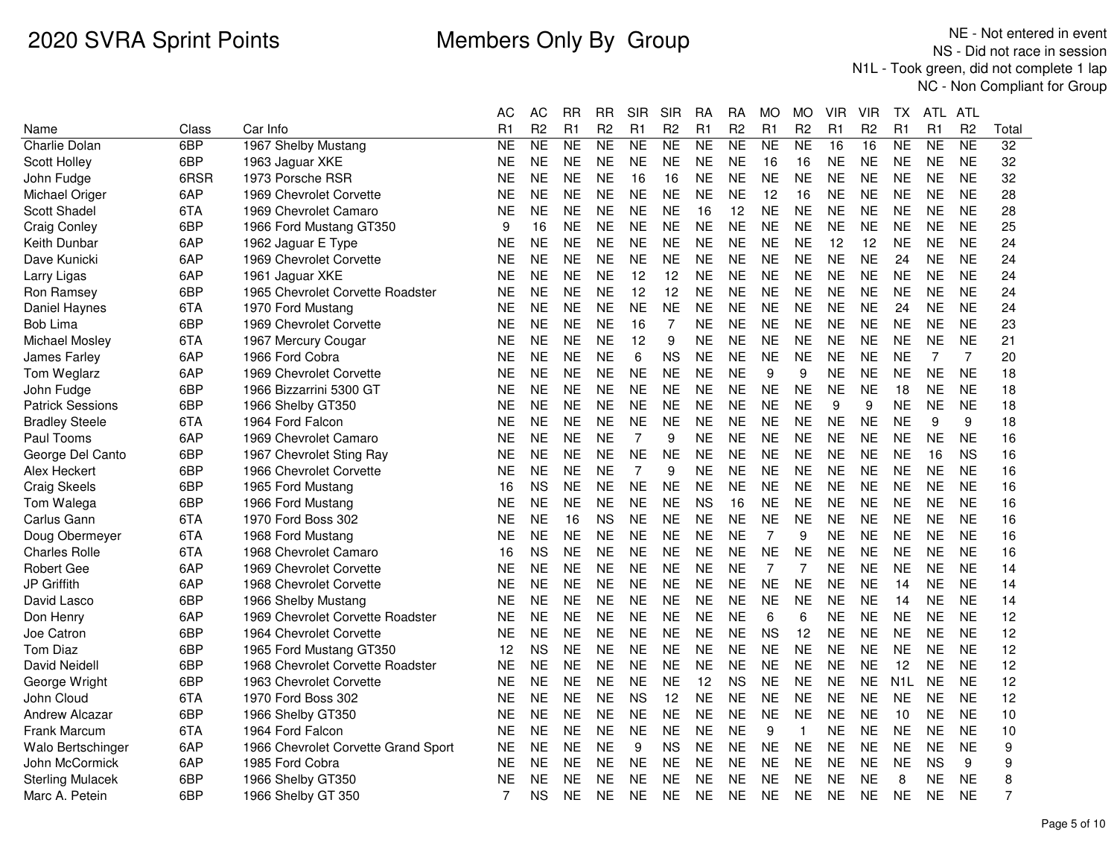|                         |       |                                     | AС        | AС             | RR        | RR             | SIR            | <b>SIR</b>     | RА        | RА             | MO        | MO             | VIR       | VIR            | ТX               | ATL.           | ATL            |                 |
|-------------------------|-------|-------------------------------------|-----------|----------------|-----------|----------------|----------------|----------------|-----------|----------------|-----------|----------------|-----------|----------------|------------------|----------------|----------------|-----------------|
| Name                    | Class | Car Info                            | R1        | R <sub>2</sub> | R1        | R <sub>2</sub> | R1             | R <sub>2</sub> | R1        | R <sub>2</sub> | R1        | R <sub>2</sub> | R1        | R <sub>2</sub> | R <sub>1</sub>   | R <sub>1</sub> | R <sub>2</sub> | Total           |
| <b>Charlie Dolan</b>    | 6BP   | 1967 Shelby Mustang                 | <b>NE</b> | <b>NE</b>      | <b>NE</b> | <b>NE</b>      | <b>NE</b>      | <b>NE</b>      | <b>NE</b> | <b>NE</b>      | <b>NE</b> | <b>NE</b>      | 16        | 16             | N <sub>E</sub>   | <b>NE</b>      | <b>NE</b>      | $\overline{32}$ |
| Scott Holley            | 6BP   | 1963 Jaguar XKE                     | NE        | <b>NE</b>      | <b>NE</b> | <b>NE</b>      | <b>NE</b>      | <b>NE</b>      | <b>NE</b> | <b>NE</b>      | 16        | 16             | <b>NE</b> | <b>NE</b>      | <b>NE</b>        | <b>NE</b>      | <b>NE</b>      | 32              |
| John Fudge              | 6RSR  | 1973 Porsche RSR                    | NE        | <b>NE</b>      | NΕ.       | <b>NE</b>      | 16             | 16             | <b>NE</b> | NΕ.            | NE.       | <b>NE</b>      | <b>NE</b> | <b>NE</b>      | <b>NE</b>        | <b>NE</b>      | <b>NE</b>      | 32              |
| Michael Origer          | 6AP   | 1969 Chevrolet Corvette             | NE        | <b>NE</b>      | <b>NE</b> | <b>NE</b>      | <b>NE</b>      | <b>NE</b>      | <b>NE</b> | <b>NE</b>      | 12        | 16             | <b>NE</b> | <b>NE</b>      | <b>NE</b>        | <b>NE</b>      | <b>NE</b>      | 28              |
| Scott Shadel            | 6TA   | 1969 Chevrolet Camaro               | NE        | <b>NE</b>      | <b>NE</b> | <b>NE</b>      | <b>NE</b>      | <b>NE</b>      | 16        | 12             | <b>NE</b> | <b>NE</b>      | <b>NE</b> | <b>NE</b>      | <b>NE</b>        | <b>NE</b>      | <b>NE</b>      | 28              |
| <b>Craig Conley</b>     | 6BP   | 1966 Ford Mustang GT350             | 9         | 16             | <b>NE</b> | <b>NE</b>      | <b>NE</b>      | <b>NE</b>      | <b>NE</b> | <b>NE</b>      | <b>NE</b> | <b>NE</b>      | <b>NE</b> | <b>NE</b>      | <b>NE</b>        | <b>NE</b>      | <b>NE</b>      | 25              |
| Keith Dunbar            | 6AP   | 1962 Jaguar E Type                  | NE        | <b>NE</b>      | <b>NE</b> | <b>NE</b>      | <b>NE</b>      | <b>NE</b>      | <b>NE</b> | <b>NE</b>      | <b>NE</b> | <b>NE</b>      | 12        | 12             | <b>NE</b>        | <b>NE</b>      | <b>NE</b>      | 24              |
| Dave Kunicki            | 6AP   | 1969 Chevrolet Corvette             | NE        | <b>NE</b>      | <b>NE</b> | <b>NE</b>      | <b>NE</b>      | <b>NE</b>      | <b>NE</b> | <b>NE</b>      | <b>NE</b> | <b>NE</b>      | <b>NE</b> | <b>NE</b>      | 24               | <b>NE</b>      | <b>NE</b>      | 24              |
| Larry Ligas             | 6AP   | 1961 Jaguar XKE                     | NE        | <b>NE</b>      | <b>NE</b> | <b>NE</b>      | 12             | 12             | <b>NE</b> | <b>NE</b>      | <b>NE</b> | <b>NE</b>      | <b>NE</b> | <b>NE</b>      | <b>NE</b>        | <b>NE</b>      | <b>NE</b>      | 24              |
| Ron Ramsey              | 6BP   | 1965 Chevrolet Corvette Roadster    | NE        | <b>NE</b>      | <b>NE</b> | <b>NE</b>      | 12             | 12             | <b>NE</b> | <b>NE</b>      | <b>NE</b> | <b>NE</b>      | <b>NE</b> | <b>NE</b>      | <b>NE</b>        | <b>NE</b>      | <b>NE</b>      | 24              |
| Daniel Haynes           | 6TA   | 1970 Ford Mustang                   | NE        | <b>NE</b>      | <b>NE</b> | <b>NE</b>      | <b>NE</b>      | <b>NE</b>      | <b>NE</b> | <b>NE</b>      | <b>NE</b> | <b>NE</b>      | <b>NE</b> | <b>NE</b>      | 24               | <b>NE</b>      | <b>NE</b>      | 24              |
| <b>Bob Lima</b>         | 6BP   | 1969 Chevrolet Corvette             | NE        | <b>NE</b>      | <b>NE</b> | <b>NE</b>      | 16             | 7              | <b>NE</b> | <b>NE</b>      | <b>NE</b> | <b>NE</b>      | <b>NE</b> | <b>NE</b>      | <b>NE</b>        | <b>NE</b>      | <b>NE</b>      | 23              |
| Michael Mosley          | 6TA   | 1967 Mercury Cougar                 | NE        | <b>NE</b>      | <b>NE</b> | <b>NE</b>      | 12             | 9              | <b>NE</b> | <b>NE</b>      | <b>NE</b> | <b>NE</b>      | <b>NE</b> | <b>NE</b>      | <b>NE</b>        | <b>NE</b>      | <b>NE</b>      | 21              |
| James Farley            | 6AP   | 1966 Ford Cobra                     | NE        | <b>NE</b>      | <b>NE</b> | <b>NE</b>      | 6              | <b>NS</b>      | <b>NE</b> | <b>NE</b>      | <b>NE</b> | <b>NE</b>      | <b>NE</b> | <b>NE</b>      | <b>NE</b>        | 7              | 7              | 20              |
| Tom Weglarz             | 6AP   | 1969 Chevrolet Corvette             | NE        | <b>NE</b>      | <b>NE</b> | <b>NE</b>      | <b>NE</b>      | <b>NE</b>      | <b>NE</b> | <b>NE</b>      | 9         | 9              | <b>NE</b> | <b>NE</b>      | <b>NE</b>        | <b>NE</b>      | <b>NE</b>      | 18              |
| John Fudge              | 6BP   | 1966 Bizzarrini 5300 GT             | <b>NE</b> | <b>NE</b>      | <b>NE</b> | <b>NE</b>      | <b>NE</b>      | <b>NE</b>      | <b>NE</b> | <b>NE</b>      | <b>NE</b> | <b>NE</b>      | <b>NE</b> | <b>NE</b>      | 18               | <b>NE</b>      | <b>NE</b>      | 18              |
| <b>Patrick Sessions</b> | 6BP   | 1966 Shelby GT350                   | NE        | <b>NE</b>      | <b>NE</b> | <b>NE</b>      | <b>NE</b>      | <b>NE</b>      | <b>NE</b> | <b>NE</b>      | <b>NE</b> | <b>NE</b>      | 9         | 9              | <b>NE</b>        | <b>NE</b>      | <b>NE</b>      | 18              |
| <b>Bradley Steele</b>   | 6TA   | 1964 Ford Falcon                    | NE        | <b>NE</b>      | <b>NE</b> | <b>NE</b>      | <b>NE</b>      | <b>NE</b>      | <b>NE</b> | NΕ.            | NE.       | <b>NE</b>      | <b>NE</b> | <b>NE</b>      | <b>NE</b>        | 9              | 9              | 18              |
| Paul Tooms              | 6AP   | 1969 Chevrolet Camaro               | NE        | <b>NE</b>      | <b>NE</b> | <b>NE</b>      | $\overline{7}$ | 9              | <b>NE</b> | <b>NE</b>      | <b>NE</b> | <b>NE</b>      | <b>NE</b> | <b>NE</b>      | <b>NE</b>        | <b>NE</b>      | <b>NE</b>      | 16              |
| George Del Canto        | 6BP   | 1967 Chevrolet Sting Ray            | <b>NE</b> | <b>NE</b>      | <b>NE</b> | <b>NE</b>      | <b>NE</b>      | <b>NE</b>      | <b>NE</b> | <b>NE</b>      | <b>NE</b> | <b>NE</b>      | <b>NE</b> | <b>NE</b>      | <b>NE</b>        | 16             | <b>NS</b>      | 16              |
| Alex Heckert            | 6BP   | 1966 Chevrolet Corvette             | NE        | <b>NE</b>      | <b>NE</b> | <b>NE</b>      | $\overline{7}$ | 9              | <b>NE</b> | <b>NE</b>      | <b>NE</b> | <b>NE</b>      | <b>NE</b> | <b>NE</b>      | <b>NE</b>        | <b>NE</b>      | <b>NE</b>      | 16              |
| Craig Skeels            | 6BP   | 1965 Ford Mustang                   | 16        | <b>NS</b>      | <b>NE</b> | <b>NE</b>      | <b>NE</b>      | <b>NE</b>      | <b>NE</b> | <b>NE</b>      | <b>NE</b> | <b>NE</b>      | <b>NE</b> | <b>NE</b>      | <b>NE</b>        | <b>NE</b>      | <b>NE</b>      | 16              |
| Tom Walega              | 6BP   | 1966 Ford Mustang                   | NE        | <b>NE</b>      | <b>NE</b> | <b>NE</b>      | <b>NE</b>      | <b>NE</b>      | <b>NS</b> | 16             | <b>NE</b> | <b>NE</b>      | <b>NE</b> | <b>NE</b>      | <b>NE</b>        | <b>NE</b>      | <b>NE</b>      | 16              |
| Carlus Gann             | 6TA   | 1970 Ford Boss 302                  | NE        | <b>NE</b>      | 16        | <b>NS</b>      | <b>NE</b>      | <b>NE</b>      | <b>NE</b> | <b>NE</b>      | <b>NE</b> | <b>NE</b>      | <b>NE</b> | <b>NE</b>      | <b>NE</b>        | <b>NE</b>      | <b>NE</b>      | 16              |
| Doug Obermeyer          | 6TA   | 1968 Ford Mustang                   | NE        | <b>NE</b>      | <b>NE</b> | <b>NE</b>      | <b>NE</b>      | <b>NE</b>      | <b>NE</b> | <b>NE</b>      | 7         | 9              | <b>NE</b> | <b>NE</b>      | <b>NE</b>        | <b>NE</b>      | <b>NE</b>      | 16              |
| <b>Charles Rolle</b>    | 6TA   | 1968 Chevrolet Camaro               | 16        | <b>NS</b>      | <b>NE</b> | <b>NE</b>      | <b>NE</b>      | <b>NE</b>      | <b>NE</b> | <b>NE</b>      | <b>NE</b> | <b>NE</b>      | <b>NE</b> | <b>NE</b>      | <b>NE</b>        | <b>NE</b>      | <b>NE</b>      | 16              |
| <b>Robert Gee</b>       | 6AP   | 1969 Chevrolet Corvette             | NE        | <b>NE</b>      | <b>NE</b> | <b>NE</b>      | <b>NE</b>      | <b>NE</b>      | <b>NE</b> | <b>NE</b>      | 7         | 7              | <b>NE</b> | <b>NE</b>      | <b>NE</b>        | <b>NE</b>      | <b>NE</b>      | 14              |
| <b>JP Griffith</b>      | 6AP   | 1968 Chevrolet Corvette             | NE        | <b>NE</b>      | <b>NE</b> | <b>NE</b>      | <b>NE</b>      | <b>NE</b>      | <b>NE</b> | <b>NE</b>      | <b>NE</b> | <b>NE</b>      | <b>NE</b> | <b>NE</b>      | 14               | <b>NE</b>      | <b>NE</b>      | 14              |
| David Lasco             | 6BP   | 1966 Shelby Mustang                 | NE        | <b>NE</b>      | <b>NE</b> | <b>NE</b>      | <b>NE</b>      | <b>NE</b>      | <b>NE</b> | <b>NE</b>      | <b>NE</b> | <b>NE</b>      | <b>NE</b> | <b>NE</b>      | 14               | <b>NE</b>      | <b>NE</b>      | 14              |
| Don Henry               | 6AP   | 1969 Chevrolet Corvette Roadster    | NE        | <b>NE</b>      | <b>NE</b> | <b>NE</b>      | <b>NE</b>      | <b>NE</b>      | <b>NE</b> | <b>NE</b>      | 6         | 6              | <b>NE</b> | <b>NE</b>      | <b>NE</b>        | <b>NE</b>      | <b>NE</b>      | 12              |
| Joe Catron              | 6BP   | 1964 Chevrolet Corvette             | NE        | <b>NE</b>      | <b>NE</b> | <b>NE</b>      | <b>NE</b>      | <b>NE</b>      | <b>NE</b> | <b>NE</b>      | <b>NS</b> | 12             | <b>NE</b> | <b>NE</b>      | <b>NE</b>        | <b>NE</b>      | <b>NE</b>      | 12              |
| Tom Diaz                | 6BP   | 1965 Ford Mustang GT350             | 12        | <b>NS</b>      | <b>NE</b> | <b>NE</b>      | <b>NE</b>      | <b>NE</b>      | <b>NE</b> | <b>NE</b>      | <b>NE</b> | <b>NE</b>      | <b>NE</b> | <b>NE</b>      | <b>NE</b>        | <b>NE</b>      | <b>NE</b>      | 12              |
| David Neidell           | 6BP   | 1968 Chevrolet Corvette Roadster    | <b>NE</b> | <b>NE</b>      | <b>NE</b> | <b>NE</b>      | <b>NE</b>      | <b>NE</b>      | <b>NE</b> | <b>NE</b>      | <b>NE</b> | <b>NE</b>      | <b>NE</b> | <b>NE</b>      | 12               | <b>NE</b>      | <b>NE</b>      | 12              |
| George Wright           | 6BP   | 1963 Chevrolet Corvette             | NE        | <b>NE</b>      | <b>NE</b> | <b>NE</b>      | <b>NE</b>      | <b>NE</b>      | 12        | <b>NS</b>      | <b>NE</b> | <b>NE</b>      | <b>NE</b> | <b>NE</b>      | N <sub>1</sub> L | <b>NE</b>      | <b>NE</b>      | 12              |
| John Cloud              | 6TA   | 1970 Ford Boss 302                  | <b>NE</b> | <b>NE</b>      | <b>NE</b> | <b>NE</b>      | <b>NS</b>      | 12             | <b>NE</b> | <b>NE</b>      | <b>NE</b> | <b>NE</b>      | <b>NE</b> | <b>NE</b>      | <b>NE</b>        | <b>NE</b>      | <b>NE</b>      | 12              |
| <b>Andrew Alcazar</b>   | 6BP   | 1966 Shelby GT350                   | NE        | <b>NE</b>      | <b>NE</b> | <b>NE</b>      | <b>NE</b>      | <b>NE</b>      | <b>NE</b> | <b>NE</b>      | <b>NE</b> | <b>NE</b>      | <b>NE</b> | <b>NE</b>      | 10               | <b>NE</b>      | <b>NE</b>      | 10              |
| Frank Marcum            | 6TA   | 1964 Ford Falcon                    | NE        | <b>NE</b>      | <b>NE</b> | <b>NE</b>      | <b>NE</b>      | <b>NE</b>      | <b>NE</b> | <b>NE</b>      | 9         | $\mathbf 1$    | <b>NE</b> | <b>NE</b>      | NΕ               | <b>NE</b>      | <b>NE</b>      | 10              |
| Walo Bertschinger       | 6AP   | 1966 Chevrolet Corvette Grand Sport | NE        | <b>NE</b>      | <b>NE</b> | <b>NE</b>      | 9              | <b>NS</b>      | <b>NE</b> | <b>NE</b>      | <b>NE</b> | <b>NE</b>      | <b>NE</b> | <b>NE</b>      | <b>NE</b>        | <b>NE</b>      | <b>NE</b>      | 9               |
| John McCormick          | 6AP   | 1985 Ford Cobra                     | NE        | <b>NE</b>      | <b>NE</b> | <b>NE</b>      | <b>NE</b>      | <b>NE</b>      | <b>NE</b> | <b>NE</b>      | <b>NE</b> | <b>NE</b>      | <b>NE</b> | <b>NE</b>      | <b>NE</b>        | <b>NS</b>      | 9              | 9               |
| <b>Sterling Mulacek</b> | 6BP   | 1966 Shelby GT350                   | NE        | <b>NE</b>      | <b>NE</b> | <b>NE</b>      | <b>NE</b>      | <b>NE</b>      | <b>NE</b> | <b>NE</b>      | <b>NE</b> | <b>NE</b>      | <b>NE</b> | <b>NE</b>      | 8                | <b>NE</b>      | <b>NE</b>      | 8               |
| Marc A. Petein          | 6BP   | 1966 Shelby GT 350                  | 7         | <b>NS</b>      | NE        | <b>NE</b>      | <b>NE</b>      | <b>NE</b>      | <b>NE</b> | <b>NE</b>      | <b>NE</b> | <b>NE</b>      | <b>NE</b> | <b>NE</b>      | <b>NE</b>        | <b>NE</b>      | <b>NE</b>      | 7               |
|                         |       |                                     |           |                |           |                |                |                |           |                |           |                |           |                |                  |                |                |                 |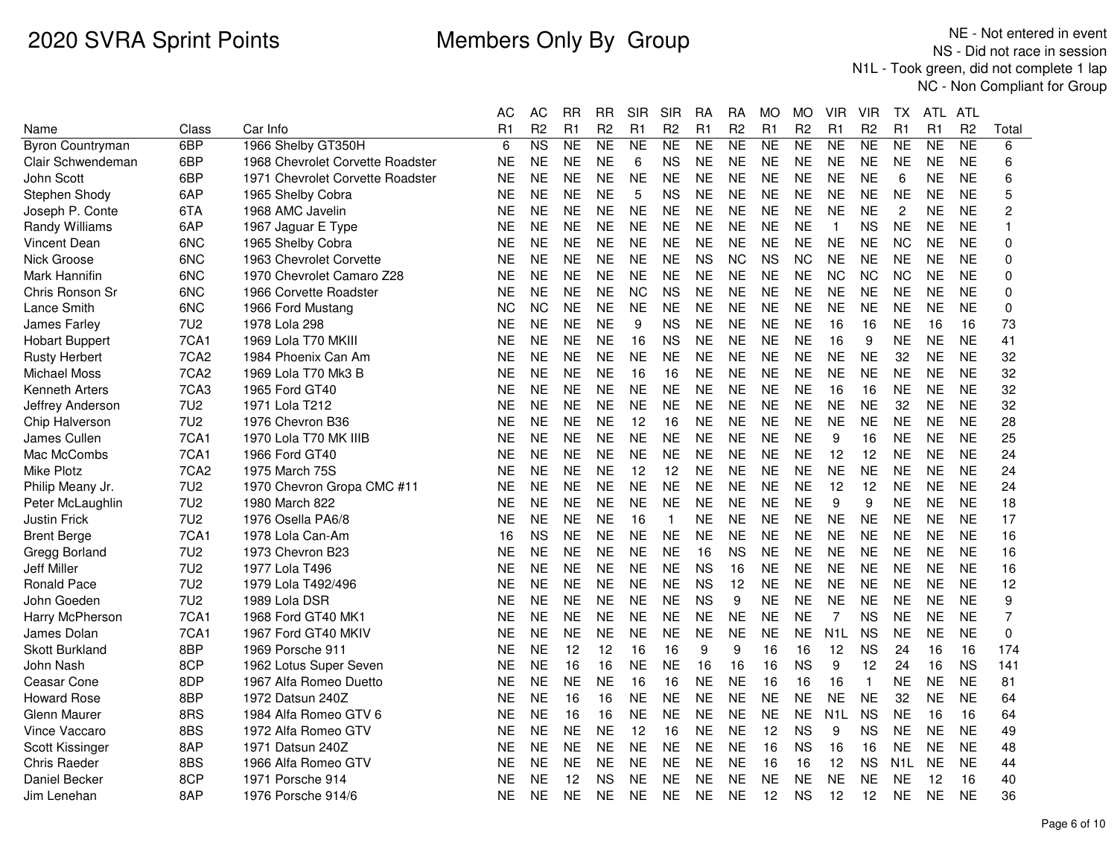|                         |                  |                                  | АC        | AC             | RR        | RR             | SIR       | SIR            | RА        | RA             | МO        | МO             | VIR              | VIR            | TХ               | ATL       | ATL            |                |
|-------------------------|------------------|----------------------------------|-----------|----------------|-----------|----------------|-----------|----------------|-----------|----------------|-----------|----------------|------------------|----------------|------------------|-----------|----------------|----------------|
| Name                    | Class            | Car Info                         | R1        | R <sub>2</sub> | R1        | R <sub>2</sub> | R1        | R <sub>2</sub> | R1        | R <sub>2</sub> | R1        | R <sub>2</sub> | R1               | R <sub>2</sub> | R1               | R1        | R <sub>2</sub> | Total          |
| <b>Byron Countryman</b> | 6BP              | 1966 Shelby GT350H               | 6         | N <sub>S</sub> | <b>NE</b> | <b>NE</b>      | <b>NE</b> | <b>NE</b>      | <b>NE</b> | NE             | <b>NE</b> | <b>NE</b>      | <b>NE</b>        | <b>NE</b>      | <b>NE</b>        | <b>NE</b> | <b>NE</b>      | 6              |
| Clair Schwendeman       | 6BP              | 1968 Chevrolet Corvette Roadster | <b>NE</b> | <b>NE</b>      | <b>NE</b> | <b>NE</b>      | $\,6$     | <b>NS</b>      | <b>NE</b> | <b>NE</b>      | <b>NE</b> | <b>NE</b>      | <b>NE</b>        | <b>NE</b>      | <b>NE</b>        | <b>NE</b> | <b>NE</b>      | 6              |
| John Scott              | 6BP              | 1971 Chevrolet Corvette Roadster | NE        | <b>NE</b>      | NE.       | <b>NE</b>      | <b>NE</b> | <b>NE</b>      | <b>NE</b> | <b>NE</b>      | <b>NE</b> | <b>NE</b>      | NE               | <b>NE</b>      | 6                | <b>NE</b> | <b>NE</b>      | 6              |
| Stephen Shody           | 6AP              | 1965 Shelby Cobra                | <b>NE</b> | <b>NE</b>      | <b>NE</b> | <b>NE</b>      | 5         | <b>NS</b>      | <b>NE</b> | <b>NE</b>      | <b>NE</b> | <b>NE</b>      | <b>NE</b>        | <b>NE</b>      | <b>NE</b>        | <b>NE</b> | <b>NE</b>      | 5              |
| Joseph P. Conte         | 6TA              | 1968 AMC Javelin                 | NE        | <b>NE</b>      | <b>NE</b> | <b>NE</b>      | <b>NE</b> | <b>NE</b>      | <b>NE</b> | <b>NE</b>      | <b>NE</b> | <b>NE</b>      | <b>NE</b>        | <b>NE</b>      | $\overline{c}$   | <b>NE</b> | <b>NE</b>      | $\overline{c}$ |
| Randy Williams          | 6AP              | 1967 Jaguar E Type               | NE        | <b>NE</b>      | <b>NE</b> | <b>NE</b>      | <b>NE</b> | <b>NE</b>      | <b>NE</b> | <b>NE</b>      | <b>NE</b> | <b>NE</b>      | $\mathbf{1}$     | <b>NS</b>      | <b>NE</b>        | <b>NE</b> | <b>NE</b>      | 1              |
| <b>Vincent Dean</b>     | 6NC              | 1965 Shelby Cobra                | ΝE        | <b>NE</b>      | <b>NE</b> | <b>NE</b>      | <b>NE</b> | <b>NE</b>      | <b>NE</b> | <b>NE</b>      | <b>NE</b> | <b>NE</b>      | <b>NE</b>        | <b>NE</b>      | <b>NC</b>        | <b>NE</b> | <b>NE</b>      | $\mathbf 0$    |
| Nick Groose             | 6NC              | 1963 Chevrolet Corvette          | NE        | <b>NE</b>      | <b>NE</b> | <b>NE</b>      | <b>NE</b> | <b>NE</b>      | <b>NS</b> | <b>NC</b>      | <b>NS</b> | <b>NC</b>      | <b>NE</b>        | <b>NE</b>      | <b>NE</b>        | <b>NE</b> | <b>NE</b>      | $\mathbf 0$    |
| Mark Hannifin           | 6N <sub>C</sub>  | 1970 Chevrolet Camaro Z28        | ΝE        | <b>NE</b>      | <b>NE</b> | <b>NE</b>      | <b>NE</b> | <b>NE</b>      | <b>NE</b> | <b>NE</b>      | <b>NE</b> | <b>NE</b>      | <b>NC</b>        | <b>NC</b>      | <b>NC</b>        | <b>NE</b> | <b>NE</b>      | $\mathbf{0}$   |
| Chris Ronson Sr         | 6N <sub>C</sub>  | 1966 Corvette Roadster           | NE        | <b>NE</b>      | <b>NE</b> | <b>NE</b>      | <b>NC</b> | <b>NS</b>      | <b>NE</b> | <b>NE</b>      | <b>NE</b> | <b>NE</b>      | <b>NE</b>        | <b>NE</b>      | <b>NE</b>        | <b>NE</b> | <b>NE</b>      | $\mathbf 0$    |
| Lance Smith             | 6NC              | 1966 Ford Mustang                | ΝC        | <b>NC</b>      | <b>NE</b> | <b>NE</b>      | <b>NE</b> | <b>NE</b>      | <b>NE</b> | <b>NE</b>      | <b>NE</b> | NE             | <b>NE</b>        | <b>NE</b>      | <b>NE</b>        | <b>NE</b> | <b>NE</b>      | 0              |
| James Farley            | 7U2              | 1978 Lola 298                    | NE        | <b>NE</b>      | <b>NE</b> | <b>NE</b>      | 9         | <b>NS</b>      | <b>NE</b> | <b>NE</b>      | <b>NE</b> | <b>NE</b>      | 16               | 16             | <b>NE</b>        | 16        | 16             | 73             |
| <b>Hobart Buppert</b>   | 7CA1             | 1969 Lola T70 MKIII              | ΝE        | <b>NE</b>      | <b>NE</b> | <b>NE</b>      | 16        | <b>NS</b>      | <b>NE</b> | <b>NE</b>      | <b>NE</b> | <b>NE</b>      | 16               | 9              | <b>NE</b>        | <b>NE</b> | <b>NE</b>      | 41             |
| <b>Rusty Herbert</b>    | 7CA <sub>2</sub> | 1984 Phoenix Can Am              | ΝE        | <b>NE</b>      | <b>NE</b> | <b>NE</b>      | <b>NE</b> | <b>NE</b>      | <b>NE</b> | <b>NE</b>      | <b>NE</b> | <b>NE</b>      | <b>NE</b>        | <b>NE</b>      | 32               | <b>NE</b> | <b>NE</b>      | 32             |
| Michael Moss            | 7CA <sub>2</sub> | 1969 Lola T70 Mk3 B              | ΝE        | <b>NE</b>      | <b>NE</b> | <b>NE</b>      | 16        | 16             | <b>NE</b> | <b>NE</b>      | <b>NE</b> | <b>NE</b>      | <b>NE</b>        | <b>NE</b>      | <b>NE</b>        | <b>NE</b> | <b>NE</b>      | 32             |
| <b>Kenneth Arters</b>   | 7CA3             | 1965 Ford GT40                   | <b>NE</b> | <b>NE</b>      | <b>NE</b> | <b>NE</b>      | <b>NE</b> | <b>NE</b>      | <b>NE</b> | <b>NE</b>      | <b>NE</b> | <b>NE</b>      | 16               | 16             | <b>NE</b>        | <b>NE</b> | <b>NE</b>      | 32             |
| Jeffrey Anderson        | <b>7U2</b>       | 1971 Lola T212                   | ΝE        | <b>NE</b>      | <b>NE</b> | <b>NE</b>      | <b>NE</b> | <b>NE</b>      | <b>NE</b> | <b>NE</b>      | <b>NE</b> | <b>NE</b>      | <b>NE</b>        | <b>NE</b>      | 32               | <b>NE</b> | <b>NE</b>      | 32             |
| Chip Halverson          | 7U <sub>2</sub>  | 1976 Chevron B36                 | ΝE        | <b>NE</b>      | <b>NE</b> | <b>NE</b>      | 12        | 16             | <b>NE</b> | <b>NE</b>      | <b>NE</b> | <b>NE</b>      | <b>NE</b>        | <b>NE</b>      | <b>NE</b>        | <b>NE</b> | <b>NE</b>      | 28             |
| James Cullen            | 7CA1             | 1970 Lola T70 MK IIIB            | NE        | <b>NE</b>      | <b>NE</b> | <b>NE</b>      | <b>NE</b> | <b>NE</b>      | <b>NE</b> | <b>NE</b>      | <b>NE</b> | <b>NE</b>      | 9                | 16             | <b>NE</b>        | <b>NE</b> | <b>NE</b>      | 25             |
| Mac McCombs             | 7CA1             | 1966 Ford GT40                   | NE        | <b>NE</b>      | <b>NE</b> | <b>NE</b>      | <b>NE</b> | <b>NE</b>      | <b>NE</b> | <b>NE</b>      | <b>NE</b> | <b>NE</b>      | 12               | 12             | <b>NE</b>        | <b>NE</b> | <b>NE</b>      | 24             |
| Mike Plotz              | 7CA <sub>2</sub> | 1975 March 75S                   | <b>NE</b> | <b>NE</b>      | <b>NE</b> | <b>NE</b>      | 12        | 12             | <b>NE</b> | <b>NE</b>      | <b>NE</b> | <b>NE</b>      | <b>NE</b>        | <b>NE</b>      | <b>NE</b>        | <b>NE</b> | <b>NE</b>      | 24             |
| Philip Meany Jr.        | <b>7U2</b>       | 1970 Chevron Gropa CMC #11       | ΝE        | <b>NE</b>      | <b>NE</b> | <b>NE</b>      | <b>NE</b> | <b>NE</b>      | <b>NE</b> | <b>NE</b>      | <b>NE</b> | <b>NE</b>      | 12               | 12             | <b>NE</b>        | <b>NE</b> | <b>NE</b>      | 24             |
| Peter McLaughlin        | <b>7U2</b>       | 1980 March 822                   | NE        | <b>NE</b>      | <b>NE</b> | <b>NE</b>      | <b>NE</b> | <b>NE</b>      | <b>NE</b> | <b>NE</b>      | <b>NE</b> | <b>NE</b>      | 9                | 9              | <b>NE</b>        | <b>NE</b> | <b>NE</b>      | 18             |
| <b>Justin Frick</b>     | <b>7U2</b>       | 1976 Osella PA6/8                | NE        | <b>NE</b>      | <b>NE</b> | <b>NE</b>      | 16        | 1              | <b>NE</b> | <b>NE</b>      | <b>NE</b> | <b>NE</b>      | <b>NE</b>        | <b>NE</b>      | <b>NE</b>        | <b>NE</b> | <b>NE</b>      | 17             |
| <b>Brent Berge</b>      | 7CA1             | 1978 Lola Can-Am                 | 16        | <b>NS</b>      | <b>NE</b> | <b>NE</b>      | <b>NE</b> | <b>NE</b>      | <b>NE</b> | <b>NE</b>      | <b>NE</b> | <b>NE</b>      | <b>NE</b>        | <b>NE</b>      | <b>NE</b>        | <b>NE</b> | <b>NE</b>      | 16             |
| Gregg Borland           | 7U2              | 1973 Chevron B23                 | ΝE        | <b>NE</b>      | <b>NE</b> | <b>NE</b>      | <b>NE</b> | <b>NE</b>      | 16        | <b>NS</b>      | <b>NE</b> | <b>NE</b>      | <b>NE</b>        | <b>NE</b>      | <b>NE</b>        | <b>NE</b> | <b>NE</b>      | 16             |
| <b>Jeff Miller</b>      | 7U2              | 1977 Lola T496                   | NE        | <b>NE</b>      | <b>NE</b> | <b>NE</b>      | <b>NE</b> | <b>NE</b>      | <b>NS</b> | 16             | <b>NE</b> | <b>NE</b>      | <b>NE</b>        | <b>NE</b>      | <b>NE</b>        | <b>NE</b> | <b>NE</b>      | 16             |
| <b>Ronald Pace</b>      | <b>7U2</b>       | 1979 Lola T492/496               | ΝE        | <b>NE</b>      | <b>NE</b> | <b>NE</b>      | <b>NE</b> | <b>NE</b>      | <b>NS</b> | 12             | <b>NE</b> | <b>NE</b>      | <b>NE</b>        | <b>NE</b>      | <b>NE</b>        | <b>NE</b> | <b>NE</b>      | 12             |
| John Goeden             | <b>7U2</b>       | 1989 Lola DSR                    | ΝE        | <b>NE</b>      | <b>NE</b> | <b>NE</b>      | <b>NE</b> | <b>NE</b>      | <b>NS</b> | 9              | <b>NE</b> | <b>NE</b>      | <b>NE</b>        | <b>NE</b>      | <b>NE</b>        | <b>NE</b> | <b>NE</b>      | 9              |
| Harry McPherson         | 7CA1             | 1968 Ford GT40 MK1               | NΕ        | <b>NE</b>      | <b>NE</b> | <b>NE</b>      | <b>NE</b> | <b>NE</b>      | <b>NE</b> | <b>NE</b>      | <b>NE</b> | NE             | 7                | <b>NS</b>      | <b>NE</b>        | <b>NE</b> | <b>NE</b>      | $\overline{7}$ |
| James Dolan             | 7CA1             | 1967 Ford GT40 MKIV              | NE        | <b>NE</b>      | <b>NE</b> | <b>NE</b>      | <b>NE</b> | <b>NE</b>      | <b>NE</b> | <b>NE</b>      | <b>NE</b> | <b>NE</b>      | N <sub>1</sub> L | <b>NS</b>      | <b>NE</b>        | <b>NE</b> | <b>NE</b>      | $\mathbf 0$    |
| <b>Skott Burkland</b>   | 8BP              | 1969 Porsche 911                 | <b>NE</b> | <b>NE</b>      | 12        | 12             | 16        | 16             | 9         | 9              | 16        | 16             | 12               | <b>NS</b>      | 24               | 16        | 16             | 174            |
| John Nash               | 8CP              | 1962 Lotus Super Seven           | ΝE        | <b>NE</b>      | 16        | 16             | <b>NE</b> | <b>NE</b>      | 16        | 16             | 16        | <b>NS</b>      | 9                | 12             | 24               | 16        | <b>NS</b>      | 141            |
| Ceasar Cone             | 8DP              | 1967 Alfa Romeo Duetto           | NE        | <b>NE</b>      | <b>NE</b> | <b>NE</b>      | 16        | 16             | <b>NE</b> | <b>NE</b>      | 16        | 16             | 16               | $\mathbf{1}$   | <b>NE</b>        | <b>NE</b> | <b>NE</b>      | 81             |
| <b>Howard Rose</b>      | 8BP              | 1972 Datsun 240Z                 | <b>NE</b> | <b>NE</b>      | 16        | 16             | <b>NE</b> | <b>NE</b>      | <b>NE</b> | <b>NE</b>      | <b>NE</b> | <b>NE</b>      | <b>NE</b>        | <b>NE</b>      | 32               | <b>NE</b> | <b>NE</b>      | 64             |
| Glenn Maurer            | 8RS              | 1984 Alfa Romeo GTV 6            | NE        | <b>NE</b>      | 16        | 16             | <b>NE</b> | <b>NE</b>      | <b>NE</b> | <b>NE</b>      | <b>NE</b> | <b>NE</b>      | N <sub>1</sub> L | <b>NS</b>      | <b>NE</b>        | 16        | 16             | 64             |
| Vince Vaccaro           | 8BS              | 1972 Alfa Romeo GTV              | ΝE        | <b>NE</b>      | <b>NE</b> | <b>NE</b>      | 12        | 16             | <b>NE</b> | <b>NE</b>      | 12        | <b>NS</b>      | 9                | <b>NS</b>      | <b>NE</b>        | <b>NE</b> | <b>NE</b>      | 49             |
| Scott Kissinger         | 8AP              | 1971 Datsun 240Z                 | NE        | <b>NE</b>      | <b>NE</b> | <b>NE</b>      | <b>NE</b> | <b>NE</b>      | <b>NE</b> | <b>NE</b>      | 16        | <b>NS</b>      | 16               | 16             | <b>NE</b>        | <b>NE</b> | <b>NE</b>      | 48             |
| Chris Raeder            | 8BS              | 1966 Alfa Romeo GTV              | NE        | <b>NE</b>      | <b>NE</b> | <b>NE</b>      | <b>NE</b> | <b>NE</b>      | <b>NE</b> | <b>NE</b>      | 16        | 16             | 12               | <b>NS</b>      | N <sub>1</sub> L | <b>NE</b> | <b>NE</b>      | 44             |
| Daniel Becker           | 8CP              | 1971 Porsche 914                 | ΝE        | <b>NE</b>      | 12        | <b>NS</b>      | <b>NE</b> | <b>NE</b>      | <b>NE</b> | <b>NE</b>      | <b>NE</b> | <b>NE</b>      | <b>NE</b>        | <b>NE</b>      | <b>NE</b>        | 12        | 16             | 40             |
| Jim Lenehan             | 8AP              | 1976 Porsche 914/6               | ΝE        | <b>NE</b>      | <b>NE</b> | <b>NE</b>      | <b>NE</b> | <b>NE</b>      | <b>NE</b> | <b>NE</b>      | 12        | <b>NS</b>      | 12               | 12             | <b>NE</b>        | <b>NE</b> | <b>NE</b>      | 36             |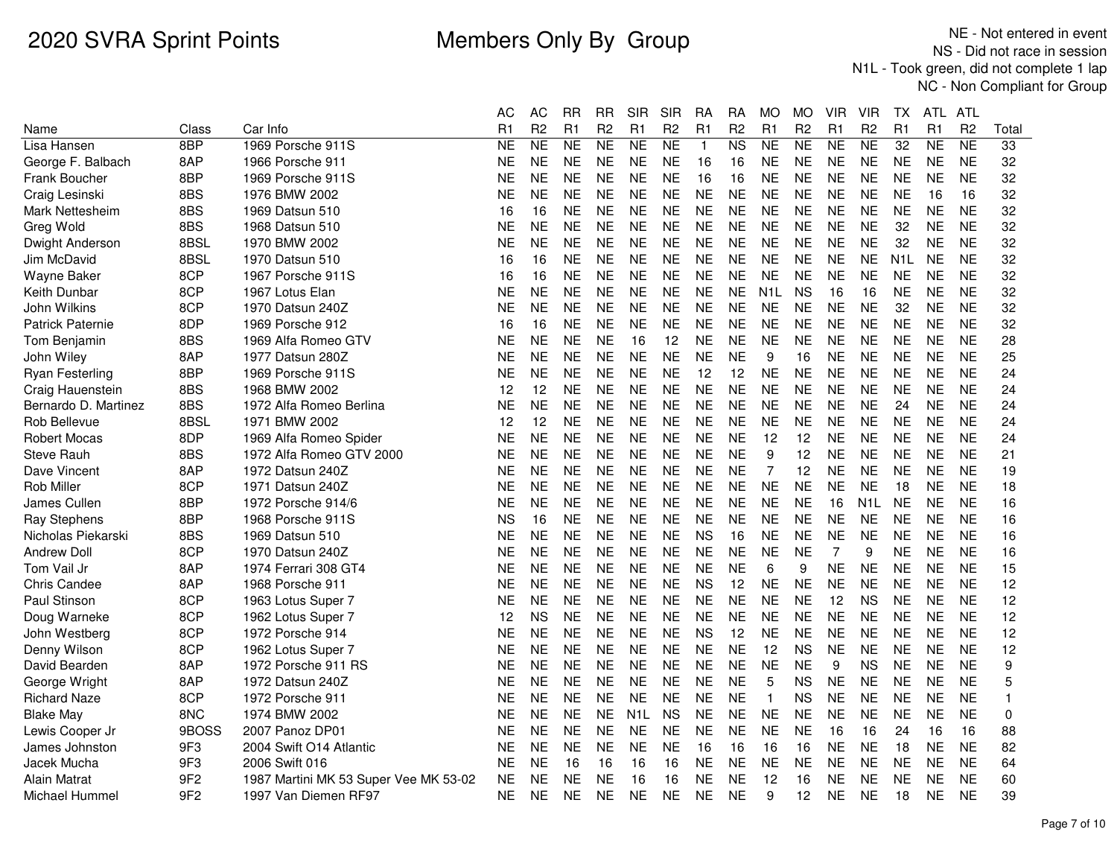|                         |                 |                                       | <b>AC</b> | <b>AC</b>      | <b>RR</b>      | <b>RR</b>      | <b>SIR</b>       | <b>SIR</b>     | RA             | <b>RA</b>      | <b>MO</b>        | МO             | <b>VIR</b>     | <b>VIR</b>       | ТX               | ATL       | ATL            |              |
|-------------------------|-----------------|---------------------------------------|-----------|----------------|----------------|----------------|------------------|----------------|----------------|----------------|------------------|----------------|----------------|------------------|------------------|-----------|----------------|--------------|
| Name                    | Class           | Car Info                              | R1        | R <sub>2</sub> | R <sub>1</sub> | R <sub>2</sub> | R1               | R <sub>2</sub> | R <sub>1</sub> | R <sub>2</sub> | R1               | R <sub>2</sub> | R1             | R <sub>2</sub>   | R1               | R1        | R <sub>2</sub> | Total        |
| Lisa Hansen             | 8BP             | 1969 Porsche 911S                     | <b>NE</b> | <b>NE</b>      | NE             | <b>NE</b>      | <b>NE</b>        | <b>NE</b>      | $\mathbf{1}$   | N <sub>S</sub> | <b>NE</b>        | <b>NE</b>      | <b>NE</b>      | <b>NE</b>        | 32               | <b>NE</b> | <b>NE</b>      | 33           |
| George F. Balbach       | 8AP             | 1966 Porsche 911                      | <b>NE</b> | <b>NE</b>      | <b>NE</b>      | <b>NE</b>      | <b>NE</b>        | <b>NE</b>      | 16             | 16             | <b>NE</b>        | <b>NE</b>      | NE             | <b>NE</b>        | <b>NE</b>        | <b>NE</b> | <b>NE</b>      | 32           |
| <b>Frank Boucher</b>    | 8BP             | 1969 Porsche 911S                     | <b>NE</b> | <b>NE</b>      | <b>NE</b>      | <b>NE</b>      | <b>NE</b>        | <b>NE</b>      | 16             | 16             | <b>NE</b>        | <b>NE</b>      | <b>NE</b>      | <b>NE</b>        | <b>NE</b>        | <b>NE</b> | <b>NE</b>      | 32           |
| Craig Lesinski          | 8BS             | 1976 BMW 2002                         | <b>NE</b> | <b>NE</b>      | <b>NE</b>      | NE             | <b>NE</b>        | <b>NE</b>      | <b>NE</b>      | <b>NE</b>      | <b>NE</b>        | <b>NE</b>      | <b>NE</b>      | <b>NE</b>        | <b>NE</b>        | 16        | 16             | 32           |
| Mark Nettesheim         | 8BS             | 1969 Datsun 510                       | 16        | 16             | <b>NE</b>      | <b>NE</b>      | <b>NE</b>        | <b>NE</b>      | <b>NE</b>      | <b>NE</b>      | <b>NE</b>        | <b>NE</b>      | <b>NE</b>      | <b>NE</b>        | <b>NE</b>        | <b>NE</b> | <b>NE</b>      | 32           |
| Greg Wold               | 8BS             | 1968 Datsun 510                       | <b>NE</b> | <b>NE</b>      | <b>NE</b>      | <b>NE</b>      | <b>NE</b>        | <b>NE</b>      | <b>NE</b>      | <b>NE</b>      | <b>NE</b>        | <b>NE</b>      | <b>NE</b>      | <b>NE</b>        | 32               | <b>NE</b> | <b>NE</b>      | 32           |
| Dwight Anderson         | 8BSL            | 1970 BMW 2002                         | <b>NE</b> | <b>NE</b>      | <b>NE</b>      | <b>NE</b>      | <b>NE</b>        | <b>NE</b>      | <b>NE</b>      | <b>NE</b>      | <b>NE</b>        | <b>NE</b>      | <b>NE</b>      | <b>NE</b>        | 32               | <b>NE</b> | <b>NE</b>      | 32           |
| Jim McDavid             | 8BSL            | 1970 Datsun 510                       | 16        | 16             | <b>NE</b>      | <b>NE</b>      | <b>NE</b>        | <b>NE</b>      | <b>NE</b>      | <b>NE</b>      | <b>NE</b>        | <b>NE</b>      | <b>NE</b>      | <b>NE</b>        | N <sub>1</sub> L | <b>NE</b> | <b>NE</b>      | 32           |
| Wayne Baker             | 8CP             | 1967 Porsche 911S                     | 16        | 16             | <b>NE</b>      | NE             | <b>NE</b>        | NE.            | NE             | <b>NE</b>      | <b>NE</b>        | <b>NE</b>      | NE             | <b>NE</b>        | <b>NE</b>        | <b>NE</b> | <b>NE</b>      | 32           |
| <b>Keith Dunbar</b>     | 8CP             | 1967 Lotus Elan                       | <b>NE</b> | <b>NE</b>      | <b>NE</b>      | <b>NE</b>      | <b>NE</b>        | <b>NE</b>      | <b>NE</b>      | <b>NE</b>      | N <sub>1</sub> L | <b>NS</b>      | 16             | 16               | <b>NE</b>        | <b>NE</b> | <b>NE</b>      | 32           |
| John Wilkins            | 8CP             | 1970 Datsun 240Z                      | <b>NE</b> | <b>NE</b>      | <b>NE</b>      | <b>NE</b>      | <b>NE</b>        | <b>NE</b>      | <b>NE</b>      | <b>NE</b>      | <b>NE</b>        | <b>NE</b>      | <b>NE</b>      | <b>NE</b>        | 32               | <b>NE</b> | <b>NE</b>      | 32           |
| <b>Patrick Paternie</b> | 8DP             | 1969 Porsche 912                      | 16        | 16             | <b>NE</b>      | <b>NE</b>      | <b>NE</b>        | <b>NE</b>      | <b>NE</b>      | <b>NE</b>      | <b>NE</b>        | <b>NE</b>      | <b>NE</b>      | <b>NE</b>        | <b>NE</b>        | <b>NE</b> | <b>NE</b>      | 32           |
| <b>Tom Benjamin</b>     | 8BS             | 1969 Alfa Romeo GTV                   | <b>NE</b> | <b>NE</b>      | <b>NE</b>      | <b>NE</b>      | 16               | 12             | <b>NE</b>      | <b>NE</b>      | <b>NE</b>        | <b>NE</b>      | <b>NE</b>      | <b>NE</b>        | <b>NE</b>        | <b>NE</b> | <b>NE</b>      | 28           |
| John Wiley              | 8AP             | 1977 Datsun 280Z                      | <b>NE</b> | <b>NE</b>      | <b>NE</b>      | <b>NE</b>      | <b>NE</b>        | <b>NE</b>      | <b>NE</b>      | <b>NE</b>      | 9                | 16             | <b>NE</b>      | <b>NE</b>        | <b>NE</b>        | <b>NE</b> | <b>NE</b>      | 25           |
| <b>Ryan Festerling</b>  | 8BP             | 1969 Porsche 911S                     | <b>NE</b> | <b>NE</b>      | <b>NE</b>      | <b>NE</b>      | <b>NE</b>        | <b>NE</b>      | 12             | 12             | <b>NE</b>        | <b>NE</b>      | <b>NE</b>      | <b>NE</b>        | <b>NE</b>        | <b>NE</b> | <b>NE</b>      | 24           |
| Craig Hauenstein        | 8BS             | 1968 BMW 2002                         | 12        | 12             | <b>NE</b>      | <b>NE</b>      | <b>NE</b>        | <b>NE</b>      | <b>NE</b>      | <b>NE</b>      | <b>NE</b>        | <b>NE</b>      | NE             | <b>NE</b>        | <b>NE</b>        | <b>NE</b> | <b>NE</b>      | 24           |
| Bernardo D. Martinez    | 8BS             | 1972 Alfa Romeo Berlina               | <b>NE</b> | <b>NE</b>      | <b>NE</b>      | <b>NE</b>      | <b>NE</b>        | <b>NE</b>      | <b>NE</b>      | <b>NE</b>      | <b>NE</b>        | <b>NE</b>      | <b>NE</b>      | <b>NE</b>        | 24               | <b>NE</b> | <b>NE</b>      | 24           |
| Rob Bellevue            | 8BSL            | 1971 BMW 2002                         | 12        | 12             | <b>NE</b>      | <b>NE</b>      | <b>NE</b>        | <b>NE</b>      | <b>NE</b>      | <b>NE</b>      | <b>NE</b>        | <b>NE</b>      | <b>NE</b>      | <b>NE</b>        | <b>NE</b>        | <b>NE</b> | <b>NE</b>      | 24           |
| <b>Robert Mocas</b>     | 8DP             | 1969 Alfa Romeo Spider                | <b>NE</b> | <b>NE</b>      | <b>NE</b>      | <b>NE</b>      | <b>NE</b>        | <b>NE</b>      | <b>NE</b>      | <b>NE</b>      | 12               | 12             | <b>NE</b>      | <b>NE</b>        | <b>NE</b>        | <b>NE</b> | <b>NE</b>      | 24           |
| <b>Steve Rauh</b>       | 8BS             | 1972 Alfa Romeo GTV 2000              | <b>NE</b> | <b>NE</b>      | <b>NE</b>      | <b>NE</b>      | <b>NE</b>        | <b>NE</b>      | <b>NE</b>      | <b>NE</b>      | 9                | 12             | <b>NE</b>      | <b>NE</b>        | <b>NE</b>        | <b>NE</b> | <b>NE</b>      | 21           |
| Dave Vincent            | 8AP             | 1972 Datsun 240Z                      | <b>NE</b> | <b>NE</b>      | <b>NE</b>      | <b>NE</b>      | <b>NE</b>        | <b>NE</b>      | <b>NE</b>      | <b>NE</b>      | $\overline{7}$   | 12             | <b>NE</b>      | <b>NE</b>        | <b>NE</b>        | <b>NE</b> | <b>NE</b>      | 19           |
| <b>Rob Miller</b>       | 8CP             | 1971 Datsun 240Z                      | <b>NE</b> | <b>NE</b>      | <b>NE</b>      | <b>NE</b>      | <b>NE</b>        | <b>NE</b>      | <b>NE</b>      | <b>NE</b>      | <b>NE</b>        | <b>NE</b>      | <b>NE</b>      | <b>NE</b>        | 18               | <b>NE</b> | <b>NE</b>      | 18           |
| James Cullen            | 8BP             | 1972 Porsche 914/6                    | <b>NE</b> | <b>NE</b>      | <b>NE</b>      | <b>NE</b>      | <b>NE</b>        | <b>NE</b>      | <b>NE</b>      | <b>NE</b>      | <b>NE</b>        | <b>NE</b>      | 16             | N <sub>1</sub> L | <b>NE</b>        | <b>NE</b> | <b>NE</b>      | 16           |
| <b>Ray Stephens</b>     | 8BP             | 1968 Porsche 911S                     | <b>NS</b> | 16             | <b>NE</b>      | <b>NE</b>      | <b>NE</b>        | <b>NE</b>      | <b>NE</b>      | <b>NE</b>      | <b>NE</b>        | <b>NE</b>      | <b>NE</b>      | <b>NE</b>        | <b>NE</b>        | <b>NE</b> | <b>NE</b>      | 16           |
| Nicholas Piekarski      | 8BS             | 1969 Datsun 510                       | <b>NE</b> | <b>NE</b>      | <b>NE</b>      | <b>NE</b>      | <b>NE</b>        | <b>NE</b>      | <b>NS</b>      | 16             | <b>NE</b>        | <b>NE</b>      | <b>NE</b>      | <b>NE</b>        | <b>NE</b>        | <b>NE</b> | <b>NE</b>      | 16           |
| <b>Andrew Doll</b>      | 8CP             | 1970 Datsun 240Z                      | <b>NE</b> | <b>NE</b>      | <b>NE</b>      | <b>NE</b>      | <b>NE</b>        | <b>NE</b>      | <b>NE</b>      | <b>NE</b>      | <b>NE</b>        | <b>NE</b>      | $\overline{7}$ | 9                | <b>NE</b>        | <b>NE</b> | <b>NE</b>      | 16           |
| Tom Vail Jr             | 8AP             | 1974 Ferrari 308 GT4                  | ΝE        | NE.            | <b>NE</b>      | NE             | <b>NE</b>        | NE.            | <b>NE</b>      | <b>NE</b>      | 6                | 9              | NE             | NE               | <b>NE</b>        | <b>NE</b> | <b>NE</b>      | 15           |
| <b>Chris Candee</b>     | 8AP             | 1968 Porsche 911                      | <b>NE</b> | <b>NE</b>      | <b>NE</b>      | <b>NE</b>      | <b>NE</b>        | <b>NE</b>      | <b>NS</b>      | 12             | <b>NE</b>        | <b>NE</b>      | <b>NE</b>      | <b>NE</b>        | <b>NE</b>        | <b>NE</b> | <b>NE</b>      | 12           |
| <b>Paul Stinson</b>     | 8CP             | 1963 Lotus Super 7                    | <b>NE</b> | <b>NE</b>      | <b>NE</b>      | <b>NE</b>      | <b>NE</b>        | <b>NE</b>      | <b>NE</b>      | <b>NE</b>      | <b>NE</b>        | <b>NE</b>      | 12             | <b>NS</b>        | <b>NE</b>        | <b>NE</b> | <b>NE</b>      | 12           |
| Doug Warneke            | 8CP             | 1962 Lotus Super 7                    | 12        | <b>NS</b>      | <b>NE</b>      | <b>NE</b>      | <b>NE</b>        | <b>NE</b>      | <b>NE</b>      | <b>NE</b>      | <b>NE</b>        | <b>NE</b>      | <b>NE</b>      | <b>NE</b>        | <b>NE</b>        | <b>NE</b> | <b>NE</b>      | 12           |
| John Westberg           | 8CP             | 1972 Porsche 914                      | <b>NE</b> | <b>NE</b>      | <b>NE</b>      | <b>NE</b>      | <b>NE</b>        | <b>NE</b>      | <b>NS</b>      | 12             | <b>NE</b>        | <b>NE</b>      | <b>NE</b>      | <b>NE</b>        | <b>NE</b>        | <b>NE</b> | <b>NE</b>      | 12           |
| Denny Wilson            | 8CP             | 1962 Lotus Super 7                    | <b>NE</b> | <b>NE</b>      | <b>NE</b>      | <b>NE</b>      | <b>NE</b>        | <b>NE</b>      | <b>NE</b>      | <b>NE</b>      | 12               | <b>NS</b>      | <b>NE</b>      | <b>NE</b>        | <b>NE</b>        | <b>NE</b> | <b>NE</b>      | 12           |
| David Bearden           | 8AP             | 1972 Porsche 911 RS                   | <b>NE</b> | <b>NE</b>      | <b>NE</b>      | <b>NE</b>      | <b>NE</b>        | <b>NE</b>      | <b>NE</b>      | <b>NE</b>      | <b>NE</b>        | <b>NE</b>      | 9              | <b>NS</b>        | <b>NE</b>        | <b>NE</b> | <b>NE</b>      | 9            |
| George Wright           | 8AP             | 1972 Datsun 240Z                      | <b>NE</b> | <b>NE</b>      | <b>NE</b>      | <b>NE</b>      | <b>NE</b>        | <b>NE</b>      | <b>NE</b>      | <b>NE</b>      | 5                | <b>NS</b>      | <b>NE</b>      | <b>NE</b>        | <b>NE</b>        | <b>NE</b> | <b>NE</b>      | 5            |
| <b>Richard Naze</b>     | 8CP             | 1972 Porsche 911                      | <b>NE</b> | <b>NE</b>      | <b>NE</b>      | <b>NE</b>      | <b>NE</b>        | <b>NE</b>      | <b>NE</b>      | <b>NE</b>      | $\mathbf{1}$     | <b>NS</b>      | <b>NE</b>      | <b>NE</b>        | <b>NE</b>        | <b>NE</b> | <b>NE</b>      | $\mathbf{1}$ |
| <b>Blake May</b>        | 8N <sub>C</sub> | 1974 BMW 2002                         | <b>NE</b> | <b>NE</b>      | <b>NE</b>      | <b>NE</b>      | N <sub>1</sub> L | <b>NS</b>      | <b>NE</b>      | <b>NE</b>      | <b>NE</b>        | <b>NE</b>      | <b>NE</b>      | <b>NE</b>        | <b>NE</b>        | <b>NE</b> | <b>NE</b>      | $\mathbf 0$  |
| Lewis Cooper Jr         | 9BOSS           | 2007 Panoz DP01                       | <b>NE</b> | <b>NE</b>      | <b>NE</b>      | <b>NE</b>      | <b>NE</b>        | <b>NE</b>      | <b>NE</b>      | <b>NE</b>      | <b>NE</b>        | <b>NE</b>      | 16             | 16               | 24               | 16        | 16             | 88           |
| James Johnston          | 9F3             | 2004 Swift O14 Atlantic               | <b>NE</b> | <b>NE</b>      | <b>NE</b>      | <b>NE</b>      | <b>NE</b>        | <b>NE</b>      | 16             | 16             | 16               | 16             | NE             | <b>NE</b>        | 18               | <b>NE</b> | <b>NE</b>      | 82           |
| Jacek Mucha             | 9F <sub>3</sub> | 2006 Swift 016                        | <b>NE</b> | <b>NE</b>      | 16             | 16             | 16               | 16             | <b>NE</b>      | <b>NE</b>      | <b>NE</b>        | <b>NE</b>      | <b>NE</b>      | <b>NE</b>        | <b>NE</b>        | <b>NE</b> | <b>NE</b>      | 64           |
| <b>Alain Matrat</b>     | 9F <sub>2</sub> | 1987 Martini MK 53 Super Vee MK 53-02 | <b>NE</b> | <b>NE</b>      | <b>NE</b>      | <b>NE</b>      | 16               | 16             | <b>NE</b>      | <b>NE</b>      | 12               | 16             | NE             | <b>NE</b>        | <b>NE</b>        | <b>NE</b> | <b>NE</b>      | 60           |
| Michael Hummel          | 9F <sub>2</sub> | 1997 Van Diemen RF97                  | <b>NE</b> | <b>NE</b>      | <b>NE</b>      | <b>NE</b>      | <b>NE</b>        | <b>NE</b>      | <b>NE</b>      | <b>NE</b>      | 9                | 12             | NE             | <b>NE</b>        | 18               | <b>NE</b> | <b>NE</b>      | 39           |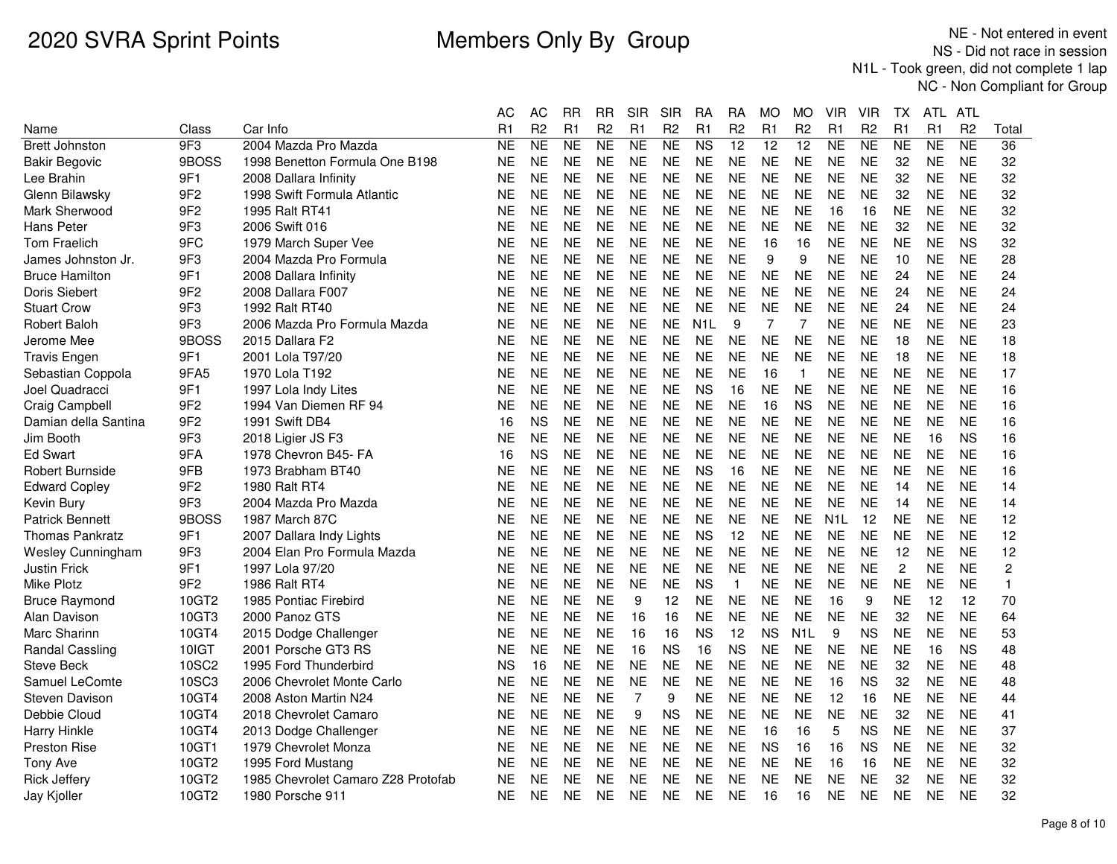|                          |                 |                                    | <b>AC</b> | AC             | <b>RR</b> | <b>RR</b>      | <b>SIR</b> | <b>SIR</b>     | RA               | <b>RA</b>       | <b>MO</b>      | <b>MO</b>        | <b>VIR</b>       | VIR            | ТX             | ATL       | ATL            |                |
|--------------------------|-----------------|------------------------------------|-----------|----------------|-----------|----------------|------------|----------------|------------------|-----------------|----------------|------------------|------------------|----------------|----------------|-----------|----------------|----------------|
| Name                     | Class           | Car Info                           | R1        | R <sub>2</sub> | R1        | R <sub>2</sub> | R1         | R <sub>2</sub> | R1               | R <sub>2</sub>  | R <sub>1</sub> | R <sub>2</sub>   | R1               | R <sub>2</sub> | R1             | R1        | R <sub>2</sub> | Total          |
| <b>Brett Johnston</b>    | 9F3             | 2004 Mazda Pro Mazda               | <b>NE</b> | <b>NE</b>      | <b>NE</b> | <b>NE</b>      | <b>NE</b>  | <b>NE</b>      | N <sub>S</sub>   | $\overline{12}$ | 12             | 12               | <b>NE</b>        | <b>NE</b>      | NE             | <b>NE</b> | <b>NE</b>      | 36             |
| <b>Bakir Begovic</b>     | 9BOSS           | 1998 Benetton Formula One B198     | <b>NE</b> | <b>NE</b>      | <b>NE</b> | <b>NE</b>      | <b>NE</b>  | <b>NE</b>      | <b>NE</b>        | <b>NE</b>       | <b>NE</b>      | <b>NE</b>        | <b>NE</b>        | <b>NE</b>      | 32             | <b>NE</b> | <b>NE</b>      | 32             |
| Lee Brahin               | 9F1             | 2008 Dallara Infinity              | <b>NE</b> | <b>NE</b>      | <b>NE</b> | <b>NE</b>      | <b>NE</b>  | <b>NE</b>      | <b>NE</b>        | <b>NE</b>       | <b>NE</b>      | <b>NE</b>        | <b>NE</b>        | <b>NE</b>      | 32             | <b>NE</b> | <b>NE</b>      | 32             |
| Glenn Bilawsky           | 9F <sub>2</sub> | 1998 Swift Formula Atlantic        | <b>NE</b> | <b>NE</b>      | <b>NE</b> | <b>NE</b>      | <b>NE</b>  | <b>NE</b>      | <b>NE</b>        | <b>NE</b>       | <b>NE</b>      | <b>NE</b>        | <b>NE</b>        | <b>NE</b>      | 32             | <b>NE</b> | <b>NE</b>      | 32             |
| Mark Sherwood            | 9F <sub>2</sub> | 1995 Ralt RT41                     | <b>NE</b> | <b>NE</b>      | <b>NE</b> | <b>NE</b>      | <b>NE</b>  | <b>NE</b>      | <b>NE</b>        | <b>NE</b>       | <b>NE</b>      | <b>NE</b>        | 16               | 16             | <b>NE</b>      | <b>NE</b> | <b>NE</b>      | 32             |
| Hans Peter               | 9F <sub>3</sub> | 2006 Swift 016                     | <b>NE</b> | <b>NE</b>      | <b>NE</b> | <b>NE</b>      | <b>NE</b>  | <b>NE</b>      | <b>NE</b>        | <b>NE</b>       | <b>NE</b>      | <b>NE</b>        | <b>NE</b>        | <b>NE</b>      | 32             | <b>NE</b> | <b>NE</b>      | 32             |
| <b>Tom Fraelich</b>      | 9FC             | 1979 March Super Vee               | <b>NE</b> | <b>NE</b>      | <b>NE</b> | <b>NE</b>      | <b>NE</b>  | <b>NE</b>      | <b>NE</b>        | <b>NE</b>       | 16             | 16               | <b>NE</b>        | <b>NE</b>      | <b>NE</b>      | <b>NE</b> | <b>NS</b>      | 32             |
| James Johnston Jr.       | 9F <sub>3</sub> | 2004 Mazda Pro Formula             | <b>NE</b> | <b>NE</b>      | <b>NE</b> | <b>NE</b>      | <b>NE</b>  | <b>NE</b>      | <b>NE</b>        | <b>NE</b>       | 9              | 9                | NE               | <b>NE</b>      | 10             | <b>NE</b> | <b>NE</b>      | 28             |
| <b>Bruce Hamilton</b>    | 9F1             | 2008 Dallara Infinity              | NE        | <b>NE</b>      | <b>NE</b> | NE             | <b>NE</b>  | <b>NE</b>      | <b>NE</b>        | <b>NE</b>       | <b>NE</b>      | <b>NE</b>        | NE               | <b>NE</b>      | 24             | <b>NE</b> | <b>NE</b>      | 24             |
| Doris Siebert            | 9F <sub>2</sub> | 2008 Dallara F007                  | <b>NE</b> | <b>NE</b>      | <b>NE</b> | <b>NE</b>      | <b>NE</b>  | <b>NE</b>      | <b>NE</b>        | <b>NE</b>       | <b>NE</b>      | <b>NE</b>        | <b>NE</b>        | <b>NE</b>      | 24             | <b>NE</b> | <b>NE</b>      | 24             |
| <b>Stuart Crow</b>       | 9F <sub>3</sub> | 1992 Ralt RT40                     | <b>NE</b> | <b>NE</b>      | <b>NE</b> | <b>NE</b>      | <b>NE</b>  | <b>NE</b>      | <b>NE</b>        | <b>NE</b>       | <b>NE</b>      | <b>NE</b>        | <b>NE</b>        | <b>NE</b>      | 24             | <b>NE</b> | <b>NE</b>      | 24             |
| <b>Robert Baloh</b>      | 9F <sub>3</sub> | 2006 Mazda Pro Formula Mazda       | <b>NE</b> | <b>NE</b>      | <b>NE</b> | <b>NE</b>      | <b>NE</b>  | <b>NE</b>      | N <sub>1</sub> L | 9               | $\overline{7}$ | $\overline{7}$   | <b>NE</b>        | <b>NE</b>      | <b>NE</b>      | <b>NE</b> | <b>NE</b>      | 23             |
| Jerome Mee               | 9BOSS           | 2015 Dallara F2                    | <b>NE</b> | <b>NE</b>      | <b>NE</b> | <b>NE</b>      | <b>NE</b>  | <b>NE</b>      | <b>NE</b>        | <b>NE</b>       | <b>NE</b>      | <b>NE</b>        | <b>NE</b>        | <b>NE</b>      | 18             | <b>NE</b> | <b>NE</b>      | 18             |
| <b>Travis Engen</b>      | 9F1             | 2001 Lola T97/20                   | <b>NE</b> | <b>NE</b>      | <b>NE</b> | <b>NE</b>      | <b>NE</b>  | <b>NE</b>      | <b>NE</b>        | <b>NE</b>       | <b>NE</b>      | <b>NE</b>        | <b>NE</b>        | <b>NE</b>      | 18             | <b>NE</b> | <b>NE</b>      | 18             |
| Sebastian Coppola        | 9FA5            | 1970 Lola T192                     | <b>NE</b> | <b>NE</b>      | <b>NE</b> | <b>NE</b>      | <b>NE</b>  | <b>NE</b>      | <b>NE</b>        | <b>NE</b>       | 16             | $\mathbf{1}$     | <b>NE</b>        | <b>NE</b>      | <b>NE</b>      | <b>NE</b> | <b>NE</b>      | 17             |
| Joel Quadracci           | 9F1             | 1997 Lola Indy Lites               | <b>NE</b> | <b>NE</b>      | <b>NE</b> | <b>NE</b>      | <b>NE</b>  | <b>NE</b>      | <b>NS</b>        | 16              | <b>NE</b>      | NE.              | NE               | <b>NE</b>      | <b>NE</b>      | <b>NE</b> | <b>NE</b>      | 16             |
| Craig Campbell           | 9F <sub>2</sub> | 1994 Van Diemen RF 94              | <b>NE</b> | <b>NE</b>      | <b>NE</b> | <b>NE</b>      | <b>NE</b>  | <b>NE</b>      | <b>NE</b>        | <b>NE</b>       | 16             | <b>NS</b>        | <b>NE</b>        | <b>NE</b>      | <b>NE</b>      | <b>NE</b> | <b>NE</b>      | 16             |
| Damian della Santina     | 9F <sub>2</sub> | 1991 Swift DB4                     | 16        | <b>NS</b>      | <b>NE</b> | <b>NE</b>      | <b>NE</b>  | <b>NE</b>      | <b>NE</b>        | <b>NE</b>       | <b>NE</b>      | <b>NE</b>        | <b>NE</b>        | <b>NE</b>      | <b>NE</b>      | <b>NE</b> | <b>NE</b>      | 16             |
| Jim Booth                | 9F3             | 2018 Ligier JS F3                  | NE        | <b>NE</b>      | <b>NE</b> | <b>NE</b>      | <b>NE</b>  | <b>NE</b>      | <b>NE</b>        | <b>NE</b>       | <b>NE</b>      | <b>NE</b>        | <b>NE</b>        | <b>NE</b>      | <b>NE</b>      | 16        | <b>NS</b>      | 16             |
| <b>Ed Swart</b>          | 9FA             | 1978 Chevron B45- FA               | 16        | <b>NS</b>      | <b>NE</b> | NE             | <b>NE</b>  | <b>NE</b>      | <b>NE</b>        | <b>NE</b>       | <b>NE</b>      | <b>NE</b>        | NE               | <b>NE</b>      | <b>NE</b>      | <b>NE</b> | <b>NE</b>      | 16             |
| Robert Burnside          | 9FB             | 1973 Brabham BT40                  | <b>NE</b> | <b>NE</b>      | <b>NE</b> | <b>NE</b>      | <b>NE</b>  | <b>NE</b>      | <b>NS</b>        | 16              | <b>NE</b>      | <b>NE</b>        | <b>NE</b>        | <b>NE</b>      | <b>NE</b>      | <b>NE</b> | <b>NE</b>      | 16             |
| <b>Edward Copley</b>     | 9F <sub>2</sub> | 1980 Ralt RT4                      | <b>NE</b> | <b>NE</b>      | <b>NE</b> | <b>NE</b>      | <b>NE</b>  | <b>NE</b>      | <b>NE</b>        | <b>NE</b>       | <b>NE</b>      | <b>NE</b>        | <b>NE</b>        | <b>NE</b>      | 14             | <b>NE</b> | <b>NE</b>      | 14             |
| Kevin Bury               | 9F3             | 2004 Mazda Pro Mazda               | <b>NE</b> | <b>NE</b>      | <b>NE</b> | <b>NE</b>      | <b>NE</b>  | <b>NE</b>      | <b>NE</b>        | <b>NE</b>       | <b>NE</b>      | <b>NE</b>        | <b>NE</b>        | <b>NE</b>      | 14             | <b>NE</b> | <b>NE</b>      | 14             |
| <b>Patrick Bennett</b>   | 9BOSS           | 1987 March 87C                     | <b>NE</b> | <b>NE</b>      | <b>NE</b> | <b>NE</b>      | <b>NE</b>  | <b>NE</b>      | <b>NE</b>        | <b>NE</b>       | <b>NE</b>      | <b>NE</b>        | N <sub>1</sub> L | 12             | <b>NE</b>      | <b>NE</b> | <b>NE</b>      | 12             |
| <b>Thomas Pankratz</b>   | 9F1             | 2007 Dallara Indy Lights           | <b>NE</b> | <b>NE</b>      | <b>NE</b> | <b>NE</b>      | <b>NE</b>  | <b>NE</b>      | <b>NS</b>        | 12              | <b>NE</b>      | <b>NE</b>        | <b>NE</b>        | <b>NE</b>      | <b>NE</b>      | <b>NE</b> | <b>NE</b>      | 12             |
| <b>Wesley Cunningham</b> | 9F3             | 2004 Elan Pro Formula Mazda        | <b>NE</b> | <b>NE</b>      | <b>NE</b> | <b>NE</b>      | <b>NE</b>  | <b>NE</b>      | <b>NE</b>        | <b>NE</b>       | <b>NE</b>      | <b>NE</b>        | <b>NE</b>        | <b>NE</b>      | 12             | <b>NE</b> | <b>NE</b>      | 12             |
| <b>Justin Frick</b>      | 9F1             | 1997 Lola 97/20                    | <b>NE</b> | <b>NE</b>      | <b>NE</b> | <b>NE</b>      | <b>NE</b>  | <b>NE</b>      | <b>NE</b>        | <b>NE</b>       | <b>NE</b>      | <b>NE</b>        | <b>NE</b>        | <b>NE</b>      | $\overline{c}$ | <b>NE</b> | <b>NE</b>      | $\overline{c}$ |
| Mike Plotz               | 9F <sub>2</sub> | 1986 Ralt RT4                      | <b>NE</b> | <b>NE</b>      | <b>NE</b> | <b>NE</b>      | <b>NE</b>  | <b>NE</b>      | <b>NS</b>        | $\mathbf{1}$    | <b>NE</b>      | <b>NE</b>        | <b>NE</b>        | <b>NE</b>      | <b>NE</b>      | <b>NE</b> | <b>NE</b>      | $\mathbf{1}$   |
| <b>Bruce Raymond</b>     | 10GT2           | 1985 Pontiac Firebird              | <b>NE</b> | <b>NE</b>      | <b>NE</b> | <b>NE</b>      | 9          | 12             | <b>NE</b>        | <b>NE</b>       | <b>NE</b>      | <b>NE</b>        | 16               | 9              | <b>NE</b>      | 12        | 12             | 70             |
| Alan Davison             | 10GT3           | 2000 Panoz GTS                     | <b>NE</b> | <b>NE</b>      | <b>NE</b> | <b>NE</b>      | 16         | 16             | <b>NE</b>        | <b>NE</b>       | <b>NE</b>      | <b>NE</b>        | <b>NE</b>        | <b>NE</b>      | 32             | <b>NE</b> | <b>NE</b>      | 64             |
| Marc Sharinn             | 10GT4           | 2015 Dodge Challenger              | <b>NE</b> | <b>NE</b>      | <b>NE</b> | <b>NE</b>      | 16         | 16             | <b>NS</b>        | 12              | <b>NS</b>      | N <sub>1</sub> L | 9                | <b>NS</b>      | <b>NE</b>      | <b>NE</b> | <b>NE</b>      | 53             |
| <b>Randal Cassling</b>   | 10IGT           | 2001 Porsche GT3 RS                | <b>NE</b> | <b>NE</b>      | <b>NE</b> | <b>NE</b>      | 16         | <b>NS</b>      | 16               | <b>NS</b>       | <b>NE</b>      | <b>NE</b>        | <b>NE</b>        | <b>NE</b>      | <b>NE</b>      | 16        | <b>NS</b>      | 48             |
| <b>Steve Beck</b>        | <b>10SC2</b>    | 1995 Ford Thunderbird              | <b>NS</b> | 16             | <b>NE</b> | <b>NE</b>      | <b>NE</b>  | <b>NE</b>      | <b>NE</b>        | <b>NE</b>       | <b>NE</b>      | <b>NE</b>        | <b>NE</b>        | <b>NE</b>      | 32             | <b>NE</b> | <b>NE</b>      | 48             |
| Samuel LeComte           | <b>10SC3</b>    | 2006 Chevrolet Monte Carlo         | <b>NE</b> | <b>NE</b>      | <b>NE</b> | <b>NE</b>      | <b>NE</b>  | <b>NE</b>      | <b>NE</b>        | <b>NE</b>       | <b>NE</b>      | <b>NE</b>        | 16               | <b>NS</b>      | 32             | <b>NE</b> | <b>NE</b>      | 48             |
| <b>Steven Davison</b>    | 10GT4           | 2008 Aston Martin N24              | <b>NE</b> | <b>NE</b>      | <b>NE</b> | <b>NE</b>      | 7          | 9              | <b>NE</b>        | <b>NE</b>       | <b>NE</b>      | <b>NE</b>        | 12               | 16             | <b>NE</b>      | <b>NE</b> | <b>NE</b>      | 44             |
| Debbie Cloud             | 10GT4           | 2018 Chevrolet Camaro              | <b>NE</b> | <b>NE</b>      | <b>NE</b> | <b>NE</b>      | 9          | <b>NS</b>      | <b>NE</b>        | <b>NE</b>       | <b>NE</b>      | <b>NE</b>        | <b>NE</b>        | <b>NE</b>      | 32             | <b>NE</b> | <b>NE</b>      | 41             |
| Harry Hinkle             | 10GT4           | 2013 Dodge Challenger              | <b>NE</b> | <b>NE</b>      | <b>NE</b> | <b>NE</b>      | <b>NE</b>  | <b>NE</b>      | <b>NE</b>        | <b>NE</b>       | 16             | 16               | 5                | <b>NS</b>      | <b>NE</b>      | <b>NE</b> | <b>NE</b>      | 37             |
| <b>Preston Rise</b>      | 10GT1           | 1979 Chevrolet Monza               | <b>NE</b> | <b>NE</b>      | <b>NE</b> | <b>NE</b>      | <b>NE</b>  | <b>NE</b>      | <b>NE</b>        | <b>NE</b>       | <b>NS</b>      | 16               | 16               | <b>NS</b>      | <b>NE</b>      | <b>NE</b> | <b>NE</b>      | 32             |
| <b>Tony Ave</b>          | 10GT2           | 1995 Ford Mustang                  | <b>NE</b> | <b>NE</b>      | <b>NE</b> | <b>NE</b>      | <b>NE</b>  | <b>NE</b>      | <b>NE</b>        | <b>NE</b>       | <b>NE</b>      | <b>NE</b>        | 16               | 16             | <b>NE</b>      | <b>NE</b> | <b>NE</b>      | 32             |
| <b>Rick Jeffery</b>      | 10GT2           | 1985 Chevrolet Camaro Z28 Protofab | <b>NE</b> | <b>NE</b>      | <b>NE</b> | <b>NE</b>      | <b>NE</b>  | <b>NE</b>      | <b>NE</b>        | <b>NE</b>       | <b>NE</b>      | <b>NE</b>        | <b>NE</b>        | <b>NE</b>      | 32             | <b>NE</b> | <b>NE</b>      | 32             |
| Jay Kjoller              | 10GT2           | 1980 Porsche 911                   | NE        | <b>NE</b>      | <b>NE</b> | NE             | <b>NE</b>  | <b>NE</b>      | <b>NE</b>        | <b>NE</b>       | 16             | 16               | NE               | <b>NE</b>      | <b>NE</b>      | <b>NE</b> | <b>NE</b>      | 32             |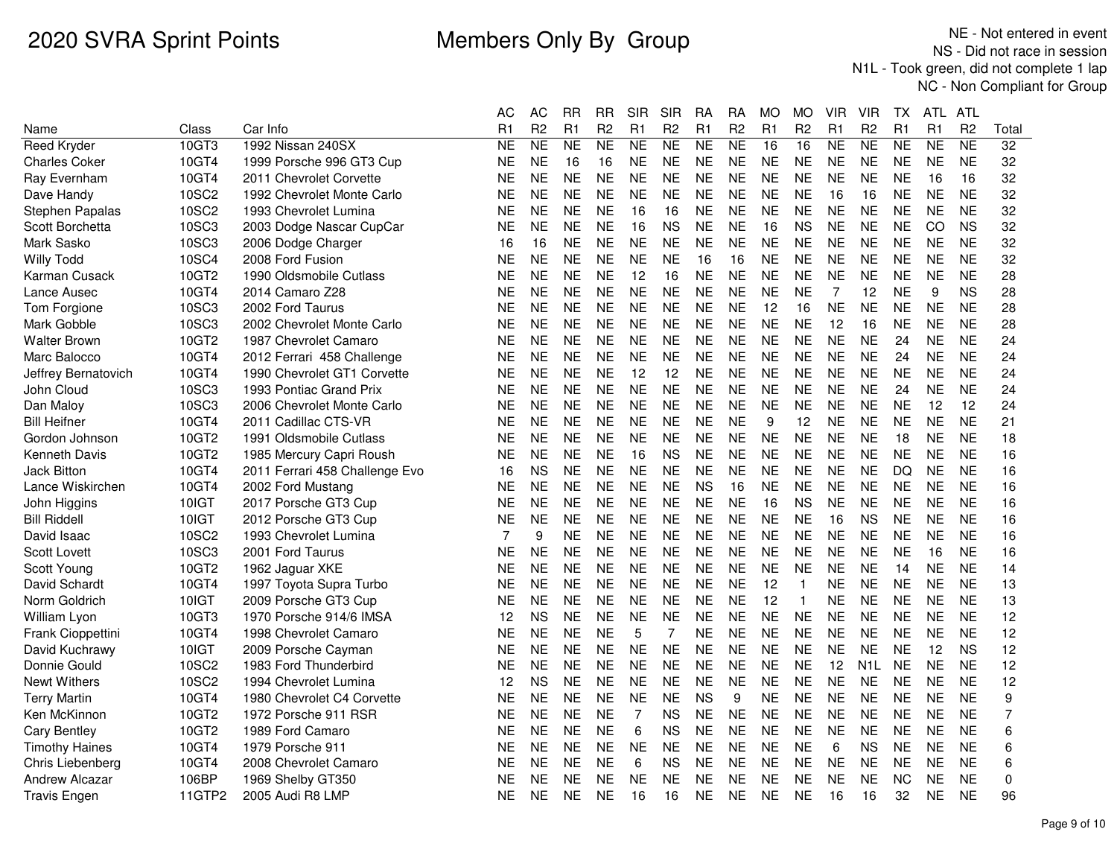|                       |              |                                | АC             | <b>AC</b>      | <b>RR</b> | <b>RR</b>      | <b>SIR</b>     | <b>SIR</b>     | <b>RA</b>      | <b>RA</b>      | <b>MO</b>       | <b>MO</b>      | <b>VIR</b>     | <b>VIR</b>       | TX        | <b>ATL</b> | ATL            |                 |
|-----------------------|--------------|--------------------------------|----------------|----------------|-----------|----------------|----------------|----------------|----------------|----------------|-----------------|----------------|----------------|------------------|-----------|------------|----------------|-----------------|
| Name                  | Class        | Car Info                       | R1             | R <sub>2</sub> | R1        | R <sub>2</sub> | R1             | R <sub>2</sub> | R <sub>1</sub> | R <sub>2</sub> | R1              | R <sub>2</sub> | R1             | R <sub>2</sub>   | R1        | R1         | R <sub>2</sub> | Total           |
| <b>Reed Kryder</b>    | 10GT3        | 1992 Nissan 240SX              | <b>NE</b>      | <b>NE</b>      | <b>NE</b> | <b>NE</b>      | <b>NE</b>      | <b>NE</b>      | <b>NE</b>      | NE             | $\overline{16}$ | 16             | <b>NE</b>      | <b>NE</b>        | <b>NE</b> | <b>NE</b>  | <b>NE</b>      | $\overline{32}$ |
| <b>Charles Coker</b>  | 10GT4        | 1999 Porsche 996 GT3 Cup       | <b>NE</b>      | <b>NE</b>      | 16        | 16             | <b>NE</b>      | <b>NE</b>      | <b>NE</b>      | <b>NE</b>      | <b>NE</b>       | <b>NE</b>      | <b>NE</b>      | <b>NE</b>        | <b>NE</b> | <b>NE</b>  | <b>NE</b>      | 32              |
| Ray Evernham          | 10GT4        | 2011 Chevrolet Corvette        | <b>NE</b>      | <b>NE</b>      | <b>NE</b> | <b>NE</b>      | <b>NE</b>      | <b>NE</b>      | <b>NE</b>      | <b>NE</b>      | <b>NE</b>       | <b>NE</b>      | <b>NE</b>      | <b>NE</b>        | <b>NE</b> | 16         | 16             | 32              |
| Dave Handy            | 10SC2        | 1992 Chevrolet Monte Carlo     | <b>NE</b>      | <b>NE</b>      | <b>NE</b> | <b>NE</b>      | <b>NE</b>      | <b>NE</b>      | <b>NE</b>      | <b>NE</b>      | <b>NE</b>       | <b>NE</b>      | 16             | 16               | <b>NE</b> | <b>NE</b>  | <b>NE</b>      | 32              |
| Stephen Papalas       | <b>10SC2</b> | 1993 Chevrolet Lumina          | ΝE             | <b>NE</b>      | <b>NE</b> | <b>NE</b>      | 16             | 16             | NE             | <b>NE</b>      | <b>NE</b>       | <b>NE</b>      | <b>NE</b>      | <b>NE</b>        | <b>NE</b> | <b>NE</b>  | <b>NE</b>      | 32              |
| Scott Borchetta       | 10SC3        | 2003 Dodge Nascar CupCar       | <b>NE</b>      | <b>NE</b>      | <b>NE</b> | <b>NE</b>      | 16             | <b>NS</b>      | <b>NE</b>      | <b>NE</b>      | 16              | <b>NS</b>      | <b>NE</b>      | <b>NE</b>        | <b>NE</b> | CO         | <b>NS</b>      | 32              |
| Mark Sasko            | 10SC3        | 2006 Dodge Charger             | 16             | 16             | <b>NE</b> | <b>NE</b>      | <b>NE</b>      | <b>NE</b>      | <b>NE</b>      | <b>NE</b>      | <b>NE</b>       | <b>NE</b>      | <b>NE</b>      | <b>NE</b>        | <b>NE</b> | <b>NE</b>  | <b>NE</b>      | 32              |
| <b>Willy Todd</b>     | 10SC4        | 2008 Ford Fusion               | NE             | <b>NE</b>      | <b>NE</b> | <b>NE</b>      | <b>NE</b>      | <b>NE</b>      | 16             | 16             | <b>NE</b>       | <b>NE</b>      | <b>NE</b>      | <b>NE</b>        | <b>NE</b> | <b>NE</b>  | <b>NE</b>      | 32              |
| Karman Cusack         | 10GT2        | 1990 Oldsmobile Cutlass        | NE             | <b>NE</b>      | <b>NE</b> | <b>NE</b>      | 12             | 16             | <b>NE</b>      | <b>NE</b>      | <b>NE</b>       | <b>NE</b>      | <b>NE</b>      | <b>NE</b>        | <b>NE</b> | <b>NE</b>  | <b>NE</b>      | 28              |
| Lance Ausec           | 10GT4        | 2014 Camaro Z28                | <b>NE</b>      | <b>NE</b>      | <b>NE</b> | <b>NE</b>      | <b>NE</b>      | <b>NE</b>      | <b>NE</b>      | <b>NE</b>      | <b>NE</b>       | <b>NE</b>      | $\overline{7}$ | 12               | <b>NE</b> | 9          | <b>NS</b>      | 28              |
| Tom Forgione          | 10SC3        | 2002 Ford Taurus               | <b>NE</b>      | <b>NE</b>      | <b>NE</b> | <b>NE</b>      | <b>NE</b>      | <b>NE</b>      | <b>NE</b>      | <b>NE</b>      | 12              | 16             | <b>NE</b>      | <b>NE</b>        | <b>NE</b> | <b>NE</b>  | <b>NE</b>      | 28              |
| Mark Gobble           | 10SC3        | 2002 Chevrolet Monte Carlo     | NE             | <b>NE</b>      | <b>NE</b> | <b>NE</b>      | <b>NE</b>      | NE             | <b>NE</b>      | <b>NE</b>      | <b>NE</b>       | <b>NE</b>      | 12             | 16               | <b>NE</b> | <b>NE</b>  | <b>NE</b>      | 28              |
| <b>Walter Brown</b>   | 10GT2        | 1987 Chevrolet Camaro          | NE             | <b>NE</b>      | <b>NE</b> | <b>NE</b>      | <b>NE</b>      | <b>NE</b>      | <b>NE</b>      | <b>NE</b>      | <b>NE</b>       | <b>NE</b>      | <b>NE</b>      | <b>NE</b>        | 24        | <b>NE</b>  | <b>NE</b>      | 24              |
| Marc Balocco          | 10GT4        | 2012 Ferrari 458 Challenge     | <b>NE</b>      | <b>NE</b>      | <b>NE</b> | <b>NE</b>      | <b>NE</b>      | <b>NE</b>      | <b>NE</b>      | <b>NE</b>      | <b>NE</b>       | <b>NE</b>      | <b>NE</b>      | <b>NE</b>        | 24        | <b>NE</b>  | <b>NE</b>      | 24              |
| Jeffrey Bernatovich   | 10GT4        | 1990 Chevrolet GT1 Corvette    | <b>NE</b>      | <b>NE</b>      | <b>NE</b> | <b>NE</b>      | 12             | 12             | <b>NE</b>      | <b>NE</b>      | <b>NE</b>       | <b>NE</b>      | <b>NE</b>      | <b>NE</b>        | <b>NE</b> | <b>NE</b>  | <b>NE</b>      | 24              |
| John Cloud            | 10SC3        | 1993 Pontiac Grand Prix        | NE             | <b>NE</b>      | <b>NE</b> | <b>NE</b>      | <b>NE</b>      | <b>NE</b>      | <b>NE</b>      | <b>NE</b>      | <b>NE</b>       | <b>NE</b>      | <b>NE</b>      | <b>NE</b>        | 24        | <b>NE</b>  | <b>NE</b>      | 24              |
| Dan Maloy             | 10SC3        | 2006 Chevrolet Monte Carlo     | <b>NE</b>      | <b>NE</b>      | <b>NE</b> | <b>NE</b>      | <b>NE</b>      | <b>NE</b>      | <b>NE</b>      | <b>NE</b>      | <b>NE</b>       | <b>NE</b>      | <b>NE</b>      | <b>NE</b>        | <b>NE</b> | 12         | 12             | 24              |
| <b>Bill Heifner</b>   | 10GT4        | 2011 Cadillac CTS-VR           | <b>NE</b>      | <b>NE</b>      | <b>NE</b> | <b>NE</b>      | <b>NE</b>      | <b>NE</b>      | <b>NE</b>      | <b>NE</b>      | 9               | 12             | <b>NE</b>      | <b>NE</b>        | <b>NE</b> | <b>NE</b>  | <b>NE</b>      | 21              |
| Gordon Johnson        | 10GT2        | 1991 Oldsmobile Cutlass        | NE             | <b>NE</b>      | <b>NE</b> | <b>NE</b>      | <b>NE</b>      | <b>NE</b>      | <b>NE</b>      | <b>NE</b>      | <b>NE</b>       | <b>NE</b>      | <b>NE</b>      | <b>NE</b>        | 18        | <b>NE</b>  | <b>NE</b>      | 18              |
| <b>Kenneth Davis</b>  | 10GT2        | 1985 Mercury Capri Roush       | <b>NE</b>      | <b>NE</b>      | <b>NE</b> | <b>NE</b>      | 16             | <b>NS</b>      | <b>NE</b>      | <b>NE</b>      | <b>NE</b>       | <b>NE</b>      | <b>NE</b>      | <b>NE</b>        | <b>NE</b> | <b>NE</b>  | <b>NE</b>      | 16              |
| Jack Bitton           | 10GT4        | 2011 Ferrari 458 Challenge Evo | 16             | <b>NS</b>      | <b>NE</b> | <b>NE</b>      | <b>NE</b>      | <b>NE</b>      | <b>NE</b>      | <b>NE</b>      | <b>NE</b>       | <b>NE</b>      | <b>NE</b>      | <b>NE</b>        | DQ        | <b>NE</b>  | <b>NE</b>      | 16              |
| Lance Wiskirchen      | 10GT4        | 2002 Ford Mustang              | <b>NE</b>      | <b>NE</b>      | <b>NE</b> | <b>NE</b>      | <b>NE</b>      | <b>NE</b>      | <b>NS</b>      | 16             | <b>NE</b>       | <b>NE</b>      | <b>NE</b>      | <b>NE</b>        | <b>NE</b> | <b>NE</b>  | <b>NE</b>      | 16              |
| John Higgins          | 10IGT        | 2017 Porsche GT3 Cup           | NE             | <b>NE</b>      | <b>NE</b> | <b>NE</b>      | <b>NE</b>      | <b>NE</b>      | <b>NE</b>      | <b>NE</b>      | 16              | <b>NS</b>      | <b>NE</b>      | <b>NE</b>        | <b>NE</b> | <b>NE</b>  | <b>NE</b>      | 16              |
| <b>Bill Riddell</b>   | 10IGT        | 2012 Porsche GT3 Cup           | <b>NE</b>      | <b>NE</b>      | <b>NE</b> | <b>NE</b>      | <b>NE</b>      | <b>NE</b>      | <b>NE</b>      | <b>NE</b>      | <b>NE</b>       | <b>NE</b>      | 16             | <b>NS</b>        | <b>NE</b> | <b>NE</b>  | <b>NE</b>      | 16              |
| David Isaac           | 10SC2        | 1993 Chevrolet Lumina          | $\overline{7}$ | 9              | <b>NE</b> | <b>NE</b>      | <b>NE</b>      | <b>NE</b>      | <b>NE</b>      | <b>NE</b>      | <b>NE</b>       | <b>NE</b>      | <b>NE</b>      | <b>NE</b>        | <b>NE</b> | <b>NE</b>  | <b>NE</b>      | 16              |
| <b>Scott Lovett</b>   | 10SC3        | 2001 Ford Taurus               | NE             | <b>NE</b>      | <b>NE</b> | <b>NE</b>      | <b>NE</b>      | <b>NE</b>      | <b>NE</b>      | <b>NE</b>      | <b>NE</b>       | <b>NE</b>      | <b>NE</b>      | <b>NE</b>        | <b>NE</b> | 16         | <b>NE</b>      | 16              |
| Scott Young           | 10GT2        | 1962 Jaguar XKE                | NE             | <b>NE</b>      | <b>NE</b> | <b>NE</b>      | <b>NE</b>      | NE             | <b>NE</b>      | <b>NE</b>      | <b>NE</b>       | <b>NE</b>      | <b>NE</b>      | <b>NE</b>        | 14        | <b>NE</b>  | <b>NE</b>      | 14              |
| David Schardt         | 10GT4        | 1997 Toyota Supra Turbo        | <b>NE</b>      | <b>NE</b>      | <b>NE</b> | <b>NE</b>      | <b>NE</b>      | <b>NE</b>      | <b>NE</b>      | <b>NE</b>      | 12              | $\mathbf{1}$   | <b>NE</b>      | <b>NE</b>        | <b>NE</b> | <b>NE</b>  | <b>NE</b>      | 13              |
| Norm Goldrich         | 10IGT        | 2009 Porsche GT3 Cup           | <b>NE</b>      | <b>NE</b>      | <b>NE</b> | <b>NE</b>      | <b>NE</b>      | <b>NE</b>      | <b>NE</b>      | <b>NE</b>      | 12              | $\overline{1}$ | <b>NE</b>      | <b>NE</b>        | <b>NE</b> | <b>NE</b>  | <b>NE</b>      | 13              |
| William Lyon          | 10GT3        | 1970 Porsche 914/6 IMSA        | 12             | <b>NS</b>      | <b>NE</b> | <b>NE</b>      | <b>NE</b>      | <b>NE</b>      | <b>NE</b>      | <b>NE</b>      | <b>NE</b>       | <b>NE</b>      | <b>NE</b>      | <b>NE</b>        | <b>NE</b> | <b>NE</b>  | <b>NE</b>      | 12              |
| Frank Cioppettini     | 10GT4        | 1998 Chevrolet Camaro          | <b>NE</b>      | <b>NE</b>      | <b>NE</b> | <b>NE</b>      | 5              | 7              | <b>NE</b>      | <b>NE</b>      | <b>NE</b>       | <b>NE</b>      | <b>NE</b>      | <b>NE</b>        | <b>NE</b> | <b>NE</b>  | <b>NE</b>      | 12              |
| David Kuchrawy        | 10IGT        | 2009 Porsche Cayman            | <b>NE</b>      | <b>NE</b>      | <b>NE</b> | <b>NE</b>      | <b>NE</b>      | <b>NE</b>      | <b>NE</b>      | <b>NE</b>      | <b>NE</b>       | <b>NE</b>      | <b>NE</b>      | <b>NE</b>        | <b>NE</b> | 12         | <b>NS</b>      | 12              |
| Donnie Gould          | <b>10SC2</b> | 1983 Ford Thunderbird          | NE             | <b>NE</b>      | <b>NE</b> | <b>NE</b>      | <b>NE</b>      | <b>NE</b>      | <b>NE</b>      | <b>NE</b>      | <b>NE</b>       | <b>NE</b>      | 12             | N <sub>1</sub> L | <b>NE</b> | <b>NE</b>  | <b>NE</b>      | 12              |
| <b>Newt Withers</b>   | 10SC2        | 1994 Chevrolet Lumina          | 12             | <b>NS</b>      | <b>NE</b> | <b>NE</b>      | <b>NE</b>      | NE             | <b>NE</b>      | NE             | <b>NE</b>       | <b>NE</b>      | <b>NE</b>      | <b>NE</b>        | <b>NE</b> | <b>NE</b>  | <b>NE</b>      | 12              |
| <b>Terry Martin</b>   | 10GT4        | 1980 Chevrolet C4 Corvette     | <b>NE</b>      | <b>NE</b>      | <b>NE</b> | <b>NE</b>      | <b>NE</b>      | <b>NE</b>      | <b>NS</b>      | 9              | <b>NE</b>       | <b>NE</b>      | <b>NE</b>      | <b>NE</b>        | <b>NE</b> | <b>NE</b>  | <b>NE</b>      | 9               |
| Ken McKinnon          | 10GT2        | 1972 Porsche 911 RSR           | <b>NE</b>      | <b>NE</b>      | <b>NE</b> | <b>NE</b>      | $\overline{7}$ | ΝS             | <b>NE</b>      | <b>NE</b>      | <b>NE</b>       | <b>NE</b>      | <b>NE</b>      | <b>NE</b>        | <b>NE</b> | <b>NE</b>  | <b>NE</b>      | $\overline{7}$  |
| <b>Cary Bentley</b>   | 10GT2        | 1989 Ford Camaro               | <b>NE</b>      | <b>NE</b>      | <b>NE</b> | <b>NE</b>      | 6              | ΝS             | <b>NE</b>      | <b>NE</b>      | <b>NE</b>       | <b>NE</b>      | <b>NE</b>      | <b>NE</b>        | <b>NE</b> | <b>NE</b>  | <b>NE</b>      | 6               |
| <b>Timothy Haines</b> | 10GT4        | 1979 Porsche 911               | <b>NE</b>      | <b>NE</b>      | <b>NE</b> | <b>NE</b>      | <b>NE</b>      | <b>NE</b>      | <b>NE</b>      | <b>NE</b>      | <b>NE</b>       | <b>NE</b>      | 6              | <b>NS</b>        | <b>NE</b> | <b>NE</b>  | <b>NE</b>      | 6               |
| Chris Liebenberg      | 10GT4        | 2008 Chevrolet Camaro          | <b>NE</b>      | <b>NE</b>      | <b>NE</b> | <b>NE</b>      | 6              | <b>NS</b>      | <b>NE</b>      | <b>NE</b>      | <b>NE</b>       | <b>NE</b>      | <b>NE</b>      | <b>NE</b>        | <b>NE</b> | <b>NE</b>  | <b>NE</b>      | 6               |
| <b>Andrew Alcazar</b> | 106BP        | 1969 Shelby GT350              | NE             | <b>NE</b>      | <b>NE</b> | <b>NE</b>      | <b>NE</b>      | NE             | <b>NE</b>      | <b>NE</b>      | <b>NE</b>       | <b>NE</b>      | <b>NE</b>      | <b>NE</b>        | <b>NC</b> | <b>NE</b>  | <b>NE</b>      | 0               |
| <b>Travis Engen</b>   | 11GTP2       | 2005 Audi R8 LMP               | NE             | NE             | <b>NE</b> | <b>NE</b>      | 16             | 16             | <b>NE</b>      | <b>NE</b>      | <b>NE</b>       | <b>NE</b>      | 16             | 16               | 32        | <b>NE</b>  | <b>NE</b>      | 96              |